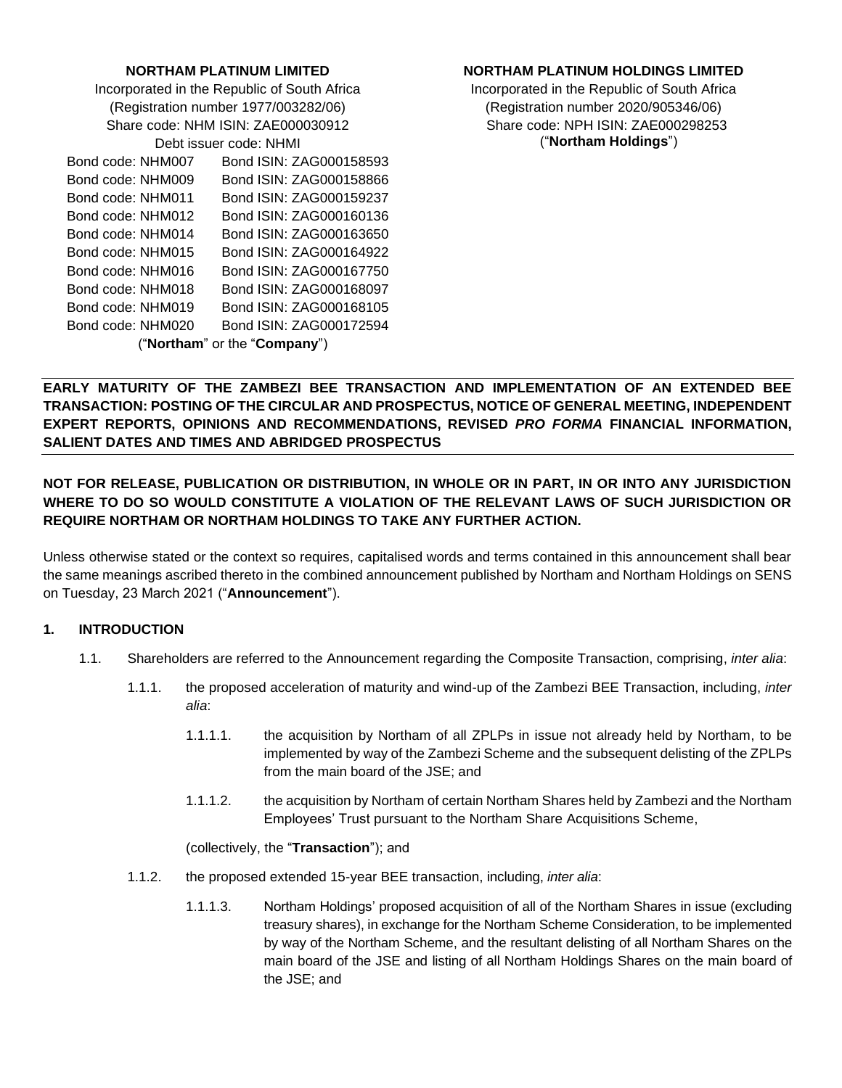#### **NORTHAM PLATINUM LIMITED**

Incorporated in the Republic of South Africa (Registration number 1977/003282/06) Share code: NHM ISIN: ZAE000030912 Debt issuer code: NHMI

| Bond code: NHM007 | Bond ISIN: ZAG000158593      |
|-------------------|------------------------------|
| Bond code: NHM009 | Bond ISIN: ZAG000158866      |
| Bond code: NHM011 | Bond ISIN: ZAG000159237      |
| Bond code: NHM012 | Bond ISIN: ZAG000160136      |
| Bond code: NHM014 | Bond ISIN: ZAG000163650      |
| Bond code: NHM015 | Bond ISIN: ZAG000164922      |
| Bond code: NHM016 | Bond ISIN: ZAG000167750      |
| Bond code: NHM018 | Bond ISIN: ZAG000168097      |
| Bond code: NHM019 | Bond ISIN: ZAG000168105      |
| Bond code: NHM020 | Bond ISIN: ZAG000172594      |
|                   | ("Northam" or the "Company") |

#### **NORTHAM PLATINUM HOLDINGS LIMITED**

Incorporated in the Republic of South Africa (Registration number 2020/905346/06) Share code: NPH ISIN: ZAE000298253 ("**Northam Holdings**")

**EARLY MATURITY OF THE ZAMBEZI BEE TRANSACTION AND IMPLEMENTATION OF AN EXTENDED BEE TRANSACTION: POSTING OF THE CIRCULAR AND PROSPECTUS, NOTICE OF GENERAL MEETING, INDEPENDENT EXPERT REPORTS, OPINIONS AND RECOMMENDATIONS, REVISED** *PRO FORMA* **FINANCIAL INFORMATION, SALIENT DATES AND TIMES AND ABRIDGED PROSPECTUS**

# **NOT FOR RELEASE, PUBLICATION OR DISTRIBUTION, IN WHOLE OR IN PART, IN OR INTO ANY JURISDICTION WHERE TO DO SO WOULD CONSTITUTE A VIOLATION OF THE RELEVANT LAWS OF SUCH JURISDICTION OR REQUIRE NORTHAM OR NORTHAM HOLDINGS TO TAKE ANY FURTHER ACTION.**

Unless otherwise stated or the context so requires, capitalised words and terms contained in this announcement shall bear the same meanings ascribed thereto in the combined announcement published by Northam and Northam Holdings on SENS on Tuesday, 23 March 2021 ("**Announcement**").

## **1. INTRODUCTION**

- 1.1. Shareholders are referred to the Announcement regarding the Composite Transaction, comprising, *inter alia*:
	- 1.1.1. the proposed acceleration of maturity and wind-up of the Zambezi BEE Transaction, including, *inter alia*:
		- 1.1.1.1. the acquisition by Northam of all ZPLPs in issue not already held by Northam, to be implemented by way of the Zambezi Scheme and the subsequent delisting of the ZPLPs from the main board of the JSE; and
		- 1.1.1.2. the acquisition by Northam of certain Northam Shares held by Zambezi and the Northam Employees' Trust pursuant to the Northam Share Acquisitions Scheme,

(collectively, the "**Transaction**"); and

- 1.1.2. the proposed extended 15-year BEE transaction, including, *inter alia*:
	- 1.1.1.3. Northam Holdings' proposed acquisition of all of the Northam Shares in issue (excluding treasury shares), in exchange for the Northam Scheme Consideration, to be implemented by way of the Northam Scheme, and the resultant delisting of all Northam Shares on the main board of the JSE and listing of all Northam Holdings Shares on the main board of the JSE; and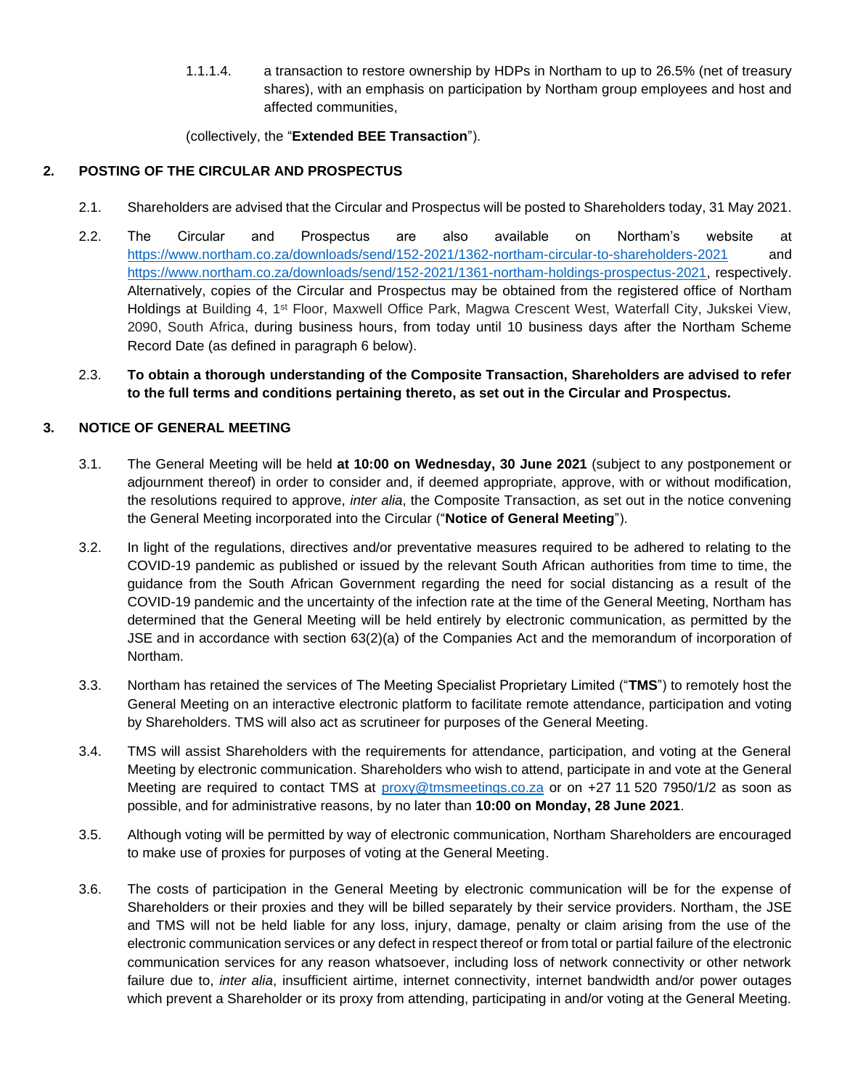1.1.1.4. a transaction to restore ownership by HDPs in Northam to up to 26.5% (net of treasury shares), with an emphasis on participation by Northam group employees and host and affected communities,

## (collectively, the "**Extended BEE Transaction**").

# **2. POSTING OF THE CIRCULAR AND PROSPECTUS**

- 2.1. Shareholders are advised that the Circular and Prospectus will be posted to Shareholders today, 31 May 2021.
- 2.2. The Circular and Prospectus are also available on Northam's website at [https://www.northam.co.za/downloads/send/152-2021/1362-northam-circular-to-shareholders-2021](https://protect-za.mimecast.com/s/GiZsCmwXJnIjMqDjSOU247?domain=northam.co.za) and [https://www.northam.co.za/downloads/send/152-2021/1361-northam-holdings-prospectus-2021,](https://protect-za.mimecast.com/s/vbvEClO6GmU2Mlp2CGskhL?domain=northam.co.za) respectively. Alternatively, copies of the Circular and Prospectus may be obtained from the registered office of Northam Holdings at Building 4, 1<sup>st</sup> Floor, Maxwell Office Park, Magwa Crescent West, Waterfall City, Jukskei View, 2090, South Africa, during business hours, from today until 10 business days after the Northam Scheme Record Date (as defined in paragraph [6](#page-6-0) below).
- 2.3. **To obtain a thorough understanding of the Composite Transaction, Shareholders are advised to refer to the full terms and conditions pertaining thereto, as set out in the Circular and Prospectus.**

# **3. NOTICE OF GENERAL MEETING**

- 3.1. The General Meeting will be held **at 10:00 on Wednesday, 30 June 2021** (subject to any postponement or adjournment thereof) in order to consider and, if deemed appropriate, approve, with or without modification, the resolutions required to approve, *inter alia*, the Composite Transaction, as set out in the notice convening the General Meeting incorporated into the Circular ("**Notice of General Meeting**").
- 3.2. In light of the regulations, directives and/or preventative measures required to be adhered to relating to the COVID-19 pandemic as published or issued by the relevant South African authorities from time to time, the guidance from the South African Government regarding the need for social distancing as a result of the COVID-19 pandemic and the uncertainty of the infection rate at the time of the General Meeting, Northam has determined that the General Meeting will be held entirely by electronic communication, as permitted by the JSE and in accordance with section 63(2)(a) of the Companies Act and the memorandum of incorporation of Northam.
- 3.3. Northam has retained the services of The Meeting Specialist Proprietary Limited ("**TMS**") to remotely host the General Meeting on an interactive electronic platform to facilitate remote attendance, participation and voting by Shareholders. TMS will also act as scrutineer for purposes of the General Meeting.
- 3.4. TMS will assist Shareholders with the requirements for attendance, participation, and voting at the General Meeting by electronic communication. Shareholders who wish to attend, participate in and vote at the General Meeting are required to contact TMS at [proxy@tmsmeetings.co.za](mailto:proxy@tmsmeetings.co.za) or on +27 11 520 7950/1/2 as soon as possible, and for administrative reasons, by no later than **10:00 on Monday, 28 June 2021**.
- 3.5. Although voting will be permitted by way of electronic communication, Northam Shareholders are encouraged to make use of proxies for purposes of voting at the General Meeting.
- 3.6. The costs of participation in the General Meeting by electronic communication will be for the expense of Shareholders or their proxies and they will be billed separately by their service providers. Northam, the JSE and TMS will not be held liable for any loss, injury, damage, penalty or claim arising from the use of the electronic communication services or any defect in respect thereof or from total or partial failure of the electronic communication services for any reason whatsoever, including loss of network connectivity or other network failure due to, *inter alia*, insufficient airtime, internet connectivity, internet bandwidth and/or power outages which prevent a Shareholder or its proxy from attending, participating in and/or voting at the General Meeting.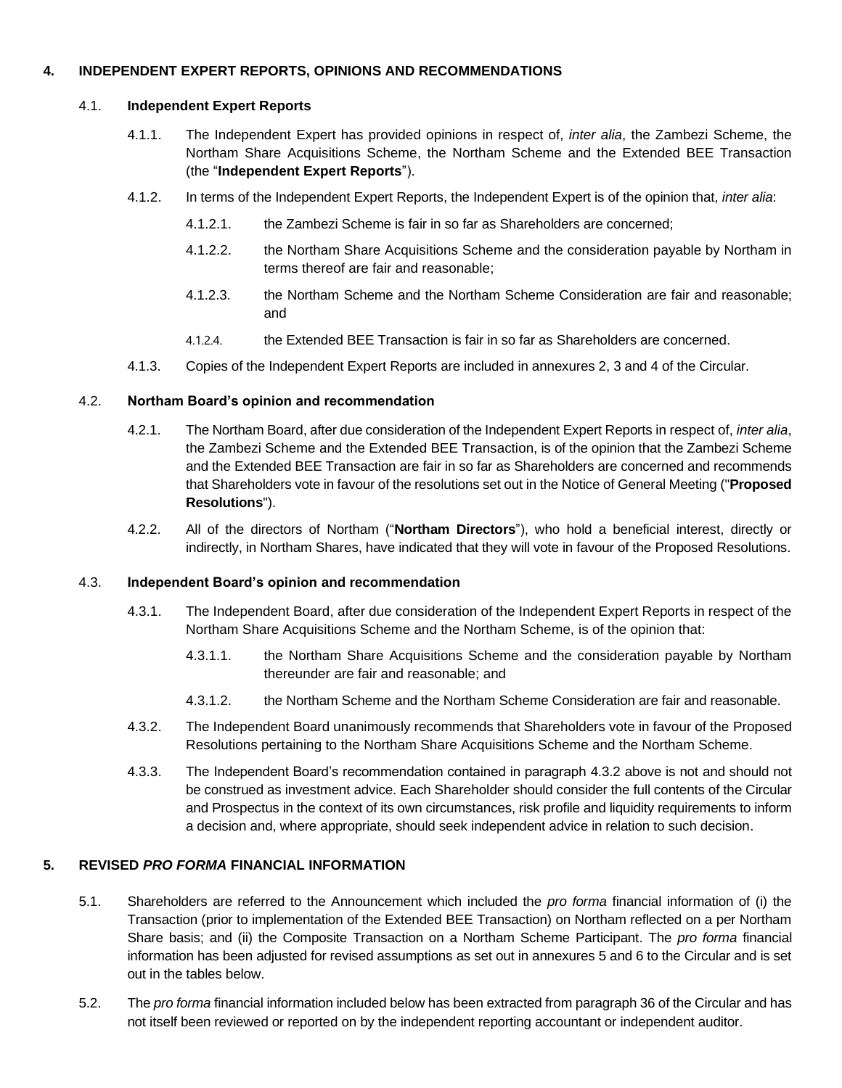#### **4. INDEPENDENT EXPERT REPORTS, OPINIONS AND RECOMMENDATIONS**

## 4.1. **Independent Expert Reports**

- 4.1.1. The Independent Expert has provided opinions in respect of, *inter alia*, the Zambezi Scheme, the Northam Share Acquisitions Scheme, the Northam Scheme and the Extended BEE Transaction (the "**Independent Expert Reports**").
- 4.1.2. In terms of the Independent Expert Reports, the Independent Expert is of the opinion that, *inter alia*:
	- 4.1.2.1. the Zambezi Scheme is fair in so far as Shareholders are concerned;
	- 4.1.2.2. the Northam Share Acquisitions Scheme and the consideration payable by Northam in terms thereof are fair and reasonable;
	- 4.1.2.3. the Northam Scheme and the Northam Scheme Consideration are fair and reasonable; and
	- 4.1.2.4. the Extended BEE Transaction is fair in so far as Shareholders are concerned.
- 4.1.3. Copies of the Independent Expert Reports are included in annexures 2, 3 and 4 of the Circular.

## 4.2. **Northam Board's opinion and recommendation**

- 4.2.1. The Northam Board, after due consideration of the Independent Expert Reports in respect of, *inter alia*, the Zambezi Scheme and the Extended BEE Transaction, is of the opinion that the Zambezi Scheme and the Extended BEE Transaction are fair in so far as Shareholders are concerned and recommends that Shareholders vote in favour of the resolutions set out in the Notice of General Meeting ("**Proposed Resolutions**").
- 4.2.2. All of the directors of Northam ("**Northam Directors**"), who hold a beneficial interest, directly or indirectly, in Northam Shares, have indicated that they will vote in favour of the Proposed Resolutions.

#### 4.3. **Independent Board's opinion and recommendation**

- 4.3.1. The Independent Board, after due consideration of the Independent Expert Reports in respect of the Northam Share Acquisitions Scheme and the Northam Scheme, is of the opinion that:
	- 4.3.1.1. the Northam Share Acquisitions Scheme and the consideration payable by Northam thereunder are fair and reasonable; and
	- 4.3.1.2. the Northam Scheme and the Northam Scheme Consideration are fair and reasonable.
- <span id="page-2-0"></span>4.3.2. The Independent Board unanimously recommends that Shareholders vote in favour of the Proposed Resolutions pertaining to the Northam Share Acquisitions Scheme and the Northam Scheme.
- 4.3.3. The Independent Board's recommendation contained in paragraph [4.3.2](#page-2-0) above is not and should not be construed as investment advice. Each Shareholder should consider the full contents of the Circular and Prospectus in the context of its own circumstances, risk profile and liquidity requirements to inform a decision and, where appropriate, should seek independent advice in relation to such decision.

#### **5. REVISED** *PRO FORMA* **FINANCIAL INFORMATION**

- 5.1. Shareholders are referred to the Announcement which included the *pro forma* financial information of (i) the Transaction (prior to implementation of the Extended BEE Transaction) on Northam reflected on a per Northam Share basis; and (ii) the Composite Transaction on a Northam Scheme Participant. The *pro forma* financial information has been adjusted for revised assumptions as set out in annexures 5 and 6 to the Circular and is set out in the tables below.
- 5.2. The *pro forma* financial information included below has been extracted from paragraph 36 of the Circular and has not itself been reviewed or reported on by the independent reporting accountant or independent auditor.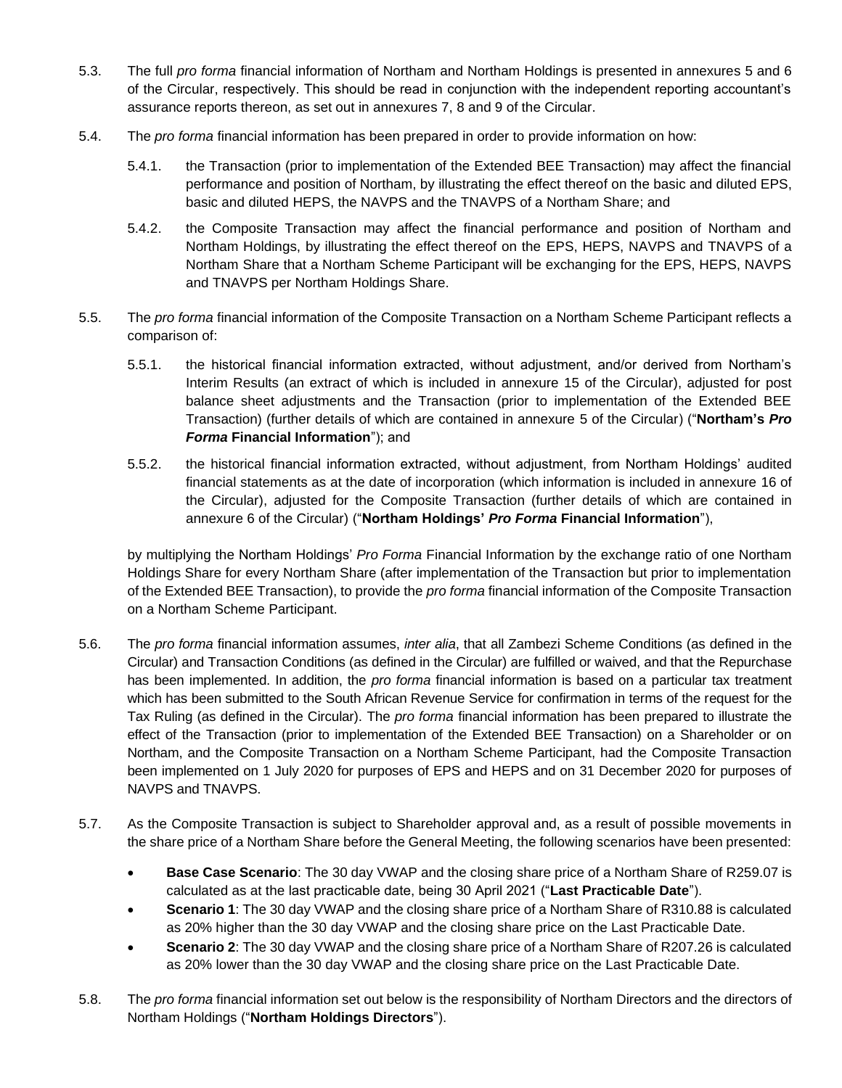- 5.3. The full *pro forma* financial information of Northam and Northam Holdings is presented in annexures 5 and 6 of the Circular, respectively. This should be read in conjunction with the independent reporting accountant's assurance reports thereon, as set out in annexures 7, 8 and 9 of the Circular.
- 5.4. The *pro forma* financial information has been prepared in order to provide information on how:
	- 5.4.1. the Transaction (prior to implementation of the Extended BEE Transaction) may affect the financial performance and position of Northam, by illustrating the effect thereof on the basic and diluted EPS, basic and diluted HEPS, the NAVPS and the TNAVPS of a Northam Share; and
	- 5.4.2. the Composite Transaction may affect the financial performance and position of Northam and Northam Holdings, by illustrating the effect thereof on the EPS, HEPS, NAVPS and TNAVPS of a Northam Share that a Northam Scheme Participant will be exchanging for the EPS, HEPS, NAVPS and TNAVPS per Northam Holdings Share.
- 5.5. The *pro forma* financial information of the Composite Transaction on a Northam Scheme Participant reflects a comparison of:
	- 5.5.1. the historical financial information extracted, without adjustment, and/or derived from Northam's Interim Results (an extract of which is included in annexure 15 of the Circular), adjusted for post balance sheet adjustments and the Transaction (prior to implementation of the Extended BEE Transaction) (further details of which are contained in annexure 5 of the Circular) ("**Northam's** *Pro Forma* **Financial Information**"); and
	- 5.5.2. the historical financial information extracted, without adjustment, from Northam Holdings' audited financial statements as at the date of incorporation (which information is included in annexure 16 of the Circular), adjusted for the Composite Transaction (further details of which are contained in annexure 6 of the Circular) ("**Northam Holdings'** *Pro Forma* **Financial Information**"),

by multiplying the Northam Holdings' *Pro Forma* Financial Information by the exchange ratio of one Northam Holdings Share for every Northam Share (after implementation of the Transaction but prior to implementation of the Extended BEE Transaction), to provide the *pro forma* financial information of the Composite Transaction on a Northam Scheme Participant.

- 5.6. The *pro forma* financial information assumes, *inter alia*, that all Zambezi Scheme Conditions (as defined in the Circular) and Transaction Conditions (as defined in the Circular) are fulfilled or waived, and that the Repurchase has been implemented. In addition, the *pro forma* financial information is based on a particular tax treatment which has been submitted to the South African Revenue Service for confirmation in terms of the request for the Tax Ruling (as defined in the Circular). The *pro forma* financial information has been prepared to illustrate the effect of the Transaction (prior to implementation of the Extended BEE Transaction) on a Shareholder or on Northam, and the Composite Transaction on a Northam Scheme Participant, had the Composite Transaction been implemented on 1 July 2020 for purposes of EPS and HEPS and on 31 December 2020 for purposes of NAVPS and TNAVPS.
- 5.7. As the Composite Transaction is subject to Shareholder approval and, as a result of possible movements in the share price of a Northam Share before the General Meeting, the following scenarios have been presented:
	- **Base Case Scenario**: The 30 day VWAP and the closing share price of a Northam Share of R259.07 is calculated as at the last practicable date, being 30 April 2021 ("**Last Practicable Date**").
	- **Scenario 1**: The 30 day VWAP and the closing share price of a Northam Share of R310.88 is calculated as 20% higher than the 30 day VWAP and the closing share price on the Last Practicable Date.
	- **Scenario 2**: The 30 day VWAP and the closing share price of a Northam Share of R207.26 is calculated as 20% lower than the 30 day VWAP and the closing share price on the Last Practicable Date.
- 5.8. The *pro forma* financial information set out below is the responsibility of Northam Directors and the directors of Northam Holdings ("**Northam Holdings Directors**").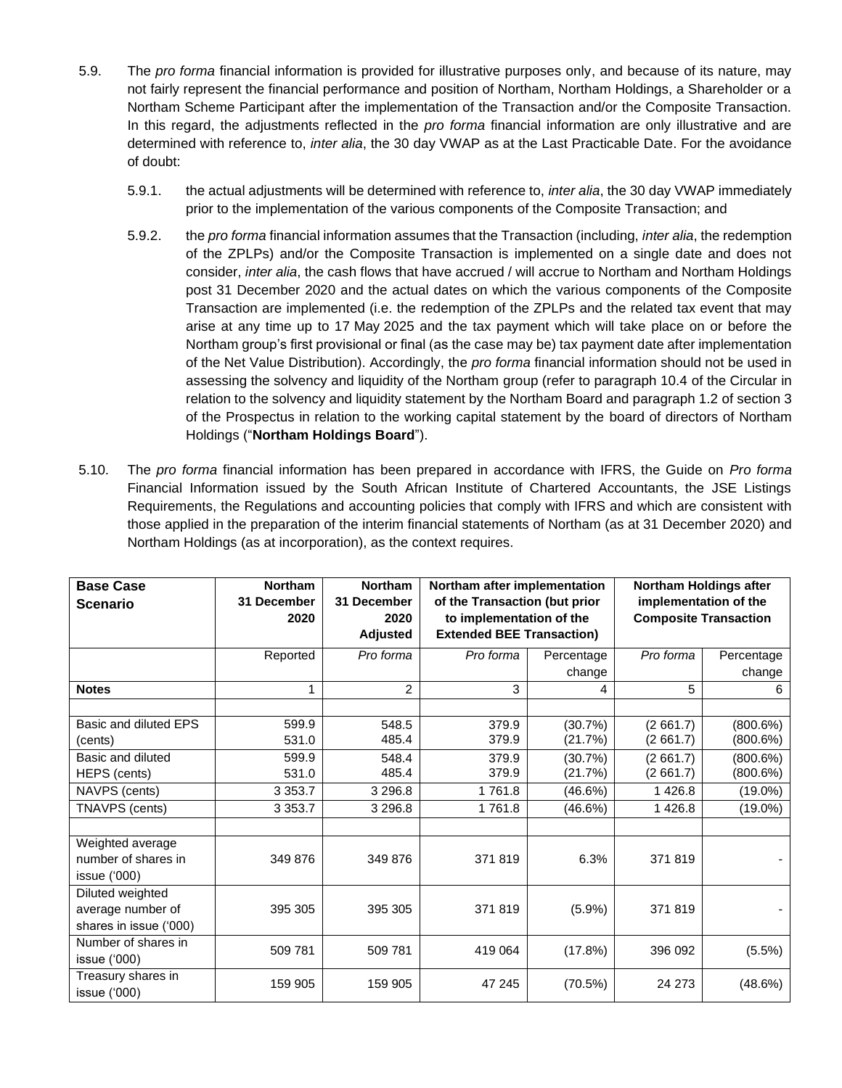- 5.9. The *pro forma* financial information is provided for illustrative purposes only, and because of its nature, may not fairly represent the financial performance and position of Northam, Northam Holdings, a Shareholder or a Northam Scheme Participant after the implementation of the Transaction and/or the Composite Transaction. In this regard, the adjustments reflected in the *pro forma* financial information are only illustrative and are determined with reference to, *inter alia*, the 30 day VWAP as at the Last Practicable Date. For the avoidance of doubt:
	- 5.9.1. the actual adjustments will be determined with reference to, *inter alia*, the 30 day VWAP immediately prior to the implementation of the various components of the Composite Transaction; and
	- 5.9.2. the *pro forma* financial information assumes that the Transaction (including, *inter alia*, the redemption of the ZPLPs) and/or the Composite Transaction is implemented on a single date and does not consider, *inter alia*, the cash flows that have accrued / will accrue to Northam and Northam Holdings post 31 December 2020 and the actual dates on which the various components of the Composite Transaction are implemented (i.e. the redemption of the ZPLPs and the related tax event that may arise at any time up to 17 May 2025 and the tax payment which will take place on or before the Northam group's first provisional or final (as the case may be) tax payment date after implementation of the Net Value Distribution). Accordingly, the *pro forma* financial information should not be used in assessing the solvency and liquidity of the Northam group (refer to paragraph 10.4 of the Circular in relation to the solvency and liquidity statement by the Northam Board and paragraph 1.2 of section 3 of the Prospectus in relation to the working capital statement by the board of directors of Northam Holdings ("**Northam Holdings Board**").
- 5.10. The *pro forma* financial information has been prepared in accordance with IFRS, the Guide on *Pro forma* Financial Information issued by the South African Institute of Chartered Accountants, the JSE Listings Requirements, the Regulations and accounting policies that comply with IFRS and which are consistent with those applied in the preparation of the interim financial statements of Northam (as at 31 December 2020) and Northam Holdings (as at incorporation), as the context requires.

| <b>Base Case</b><br><b>Scenario</b>                             | <b>Northam</b><br>31 December<br>2020 | <b>Northam</b><br>31 December<br>2020<br><b>Adjusted</b> | Northam after implementation<br>of the Transaction (but prior<br>to implementation of the<br><b>Extended BEE Transaction)</b> |                      | <b>Northam Holdings after</b><br>implementation of the<br><b>Composite Transaction</b> |                         |
|-----------------------------------------------------------------|---------------------------------------|----------------------------------------------------------|-------------------------------------------------------------------------------------------------------------------------------|----------------------|----------------------------------------------------------------------------------------|-------------------------|
|                                                                 | Reported                              | Pro forma                                                | Pro forma                                                                                                                     | Percentage<br>change | Pro forma                                                                              | Percentage<br>change    |
| <b>Notes</b>                                                    | 1                                     | $\overline{2}$                                           | 3                                                                                                                             | 4                    | 5                                                                                      | 6                       |
| Basic and diluted EPS<br>(cents)                                | 599.9<br>531.0                        | 548.5<br>485.4                                           | 379.9<br>379.9                                                                                                                | (30.7%)<br>(21.7%)   | (2661.7)<br>(2661.7)                                                                   | $(800.6\%)$<br>(800.6%) |
| Basic and diluted<br>HEPS (cents)                               | 599.9<br>531.0                        | 548.4<br>485.4                                           | 379.9<br>379.9                                                                                                                | (30.7%)<br>(21.7%)   | (2661.7)<br>(2661.7)                                                                   | (800.6%)<br>(800.6%)    |
| NAVPS (cents)                                                   | 3 3 5 3 . 7                           | 3 2 9 6.8                                                | 1761.8                                                                                                                        | (46.6%)              | 1426.8                                                                                 | $(19.0\%)$              |
| TNAVPS (cents)                                                  | 3 3 5 3 . 7                           | 3 2 9 6.8                                                | 1761.8                                                                                                                        | (46.6%)              | 1 4 2 6.8                                                                              | $(19.0\%)$              |
| Weighted average<br>number of shares in<br>issue ('000)         | 349 876                               | 349 876                                                  | 371819                                                                                                                        | 6.3%                 | 371819                                                                                 |                         |
| Diluted weighted<br>average number of<br>shares in issue ('000) | 395 305                               | 395 305                                                  | 371819                                                                                                                        | (5.9%)               | 371819                                                                                 |                         |
| Number of shares in<br>issue $(000)$                            | 509 781                               | 509 781                                                  | 419 064                                                                                                                       | (17.8%)              | 396 092                                                                                | (5.5%)                  |
| Treasury shares in<br>issue ('000)                              | 159 905                               | 159 905                                                  | 47 245                                                                                                                        | (70.5%)              | 24 273                                                                                 | (48.6%)                 |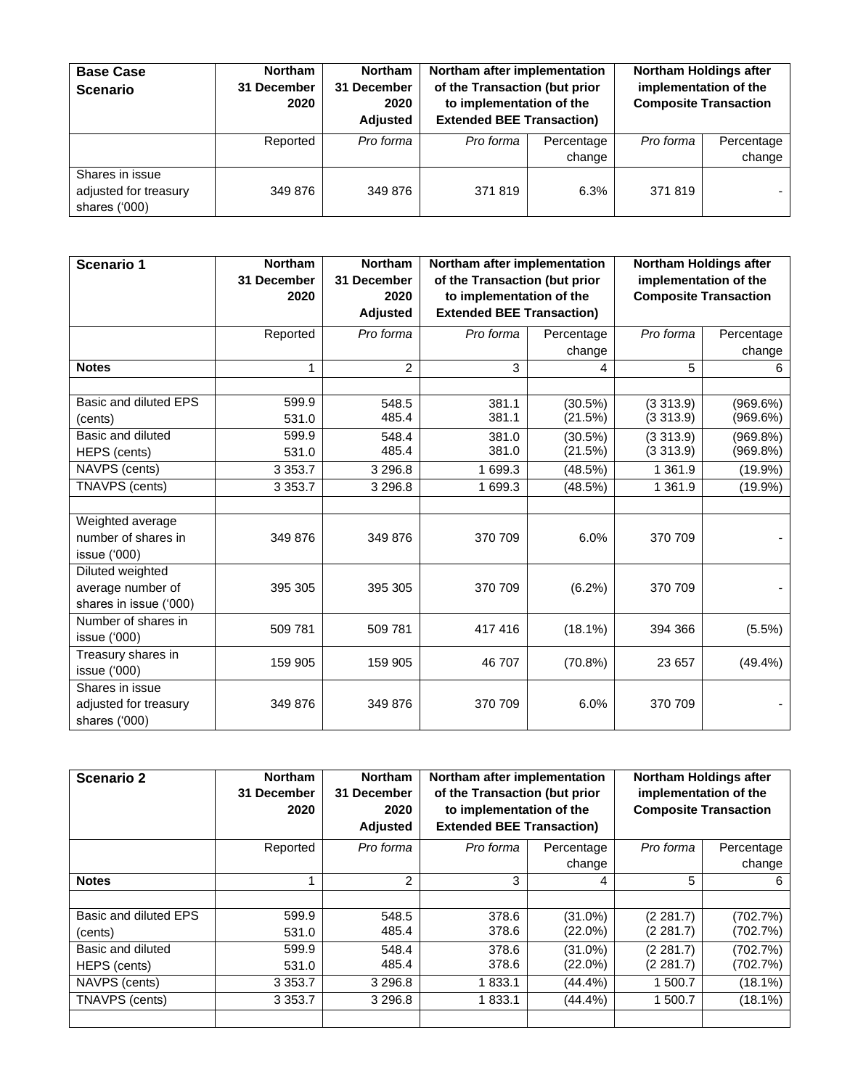| <b>Base Case</b><br><b>Scenario</b>                       | <b>Northam</b><br>31 December<br>2020 | <b>Northam</b><br>31 December<br>2020<br><b>Adjusted</b> | Northam after implementation<br>of the Transaction (but prior<br>to implementation of the<br><b>Extended BEE Transaction)</b> |                      | implementation of the | Northam Holdings after<br><b>Composite Transaction</b> |
|-----------------------------------------------------------|---------------------------------------|----------------------------------------------------------|-------------------------------------------------------------------------------------------------------------------------------|----------------------|-----------------------|--------------------------------------------------------|
|                                                           | Reported                              | Pro forma                                                | Pro forma                                                                                                                     | Percentage<br>change | Pro forma             | Percentage<br>change                                   |
| Shares in issue<br>adjusted for treasury<br>shares ('000) | 349 876                               | 349 876                                                  | 371819                                                                                                                        | 6.3%                 | 371819                |                                                        |

| <b>Scenario 1</b>                                                                                                                                                   | <b>Northam</b><br>31 December<br>2020                                   | <b>Northam</b><br>31 December<br>2020<br><b>Adjusted</b>              | Northam after implementation<br>of the Transaction (but prior<br>to implementation of the<br><b>Extended BEE Transaction)</b> |                                                                        | Northam Holdings after<br>implementation of the<br><b>Composite Transaction</b>     |                                                                          |
|---------------------------------------------------------------------------------------------------------------------------------------------------------------------|-------------------------------------------------------------------------|-----------------------------------------------------------------------|-------------------------------------------------------------------------------------------------------------------------------|------------------------------------------------------------------------|-------------------------------------------------------------------------------------|--------------------------------------------------------------------------|
|                                                                                                                                                                     | Reported                                                                | Pro forma                                                             | Pro forma                                                                                                                     | Percentage<br>change                                                   | Pro forma                                                                           | Percentage<br>change                                                     |
| <b>Notes</b>                                                                                                                                                        | 1                                                                       | $\overline{2}$                                                        | 3                                                                                                                             | 4                                                                      | 5                                                                                   | 6                                                                        |
| Basic and diluted EPS<br>(cents)<br>Basic and diluted<br>HEPS (cents)<br>NAVPS (cents)<br>TNAVPS (cents)<br>Weighted average<br>number of shares in<br>issue ('000) | 599.9<br>531.0<br>599.9<br>531.0<br>3 3 5 3 . 7<br>3 3 5 3.7<br>349 876 | 548.5<br>485.4<br>548.4<br>485.4<br>3 2 9 6.8<br>3 2 9 6.8<br>349 876 | 381.1<br>381.1<br>381.0<br>381.0<br>1 699.3<br>1 699.3<br>370 709                                                             | (30.5%)<br>(21.5%)<br>(30.5%)<br>(21.5%)<br>(48.5%)<br>(48.5%)<br>6.0% | (3313.9)<br>(3313.9)<br>(3313.9)<br>(3313.9)<br>1 3 6 1 .9<br>1 3 6 1 .9<br>370 709 | (969.6%)<br>(969.6%)<br>(969.8%)<br>(969.8%)<br>$(19.9\%)$<br>$(19.9\%)$ |
| Diluted weighted<br>average number of<br>shares in issue ('000)                                                                                                     | 395 305                                                                 | 395 305                                                               | 370 709                                                                                                                       | (6.2%)                                                                 | 370 709                                                                             |                                                                          |
| Number of shares in<br>issue $(000)$                                                                                                                                | 509 781                                                                 | 509 781                                                               | 417416                                                                                                                        | (18.1%)                                                                | 394 366                                                                             | $(5.5\%)$                                                                |
| Treasury shares in<br>issue ('000)                                                                                                                                  | 159 905                                                                 | 159 905                                                               | 46 707                                                                                                                        | $(70.8\%)$                                                             | 23 657                                                                              | (49.4%)                                                                  |
| Shares in issue<br>adjusted for treasury<br>shares ('000)                                                                                                           | 349 876                                                                 | 349 876                                                               | 370 709                                                                                                                       | 6.0%                                                                   | 370 709                                                                             |                                                                          |

| <b>Scenario 2</b>     | <b>Northam</b><br>31 December<br>2020 | <b>Northam</b><br>31 December<br>2020<br><b>Adjusted</b> | Northam after implementation<br>of the Transaction (but prior<br>to implementation of the<br><b>Extended BEE Transaction)</b> |            | <b>Northam Holdings after</b><br><b>Composite Transaction</b> | implementation of the |
|-----------------------|---------------------------------------|----------------------------------------------------------|-------------------------------------------------------------------------------------------------------------------------------|------------|---------------------------------------------------------------|-----------------------|
|                       | Reported                              | Pro forma                                                | Pro forma                                                                                                                     | Percentage | Pro forma                                                     | Percentage            |
|                       |                                       |                                                          |                                                                                                                               | change     |                                                               | change                |
| <b>Notes</b>          |                                       | $\mathfrak{p}$                                           | 3                                                                                                                             | 4          | 5                                                             | 6                     |
|                       |                                       |                                                          |                                                                                                                               |            |                                                               |                       |
| Basic and diluted EPS | 599.9                                 | 548.5                                                    | 378.6                                                                                                                         | $(31.0\%)$ | (2 281.7)                                                     | (702.7%)              |
| (cents)               | 531.0                                 | 485.4                                                    | 378.6                                                                                                                         | $(22.0\%)$ | (2 281.7)                                                     | (702.7%)              |
| Basic and diluted     | 599.9                                 | 548.4                                                    | 378.6                                                                                                                         | (31.0%)    | (2281.7)                                                      | (702.7%)              |
| HEPS (cents)          | 531.0                                 | 485.4                                                    | 378.6                                                                                                                         | $(22.0\%)$ | (2 281.7)                                                     | (702.7%)              |
| NAVPS (cents)         | 3 3 5 3 . 7                           | 3 2 9 6.8                                                | 1833.1                                                                                                                        | $(44.4\%)$ | 1 500.7                                                       | $(18.1\%)$            |
| TNAVPS (cents)        | 3 3 5 3 . 7                           | 3 2 9 6.8                                                | 1833.1                                                                                                                        | $(44.4\%)$ | 1 500.7                                                       | (18.1%)               |
|                       |                                       |                                                          |                                                                                                                               |            |                                                               |                       |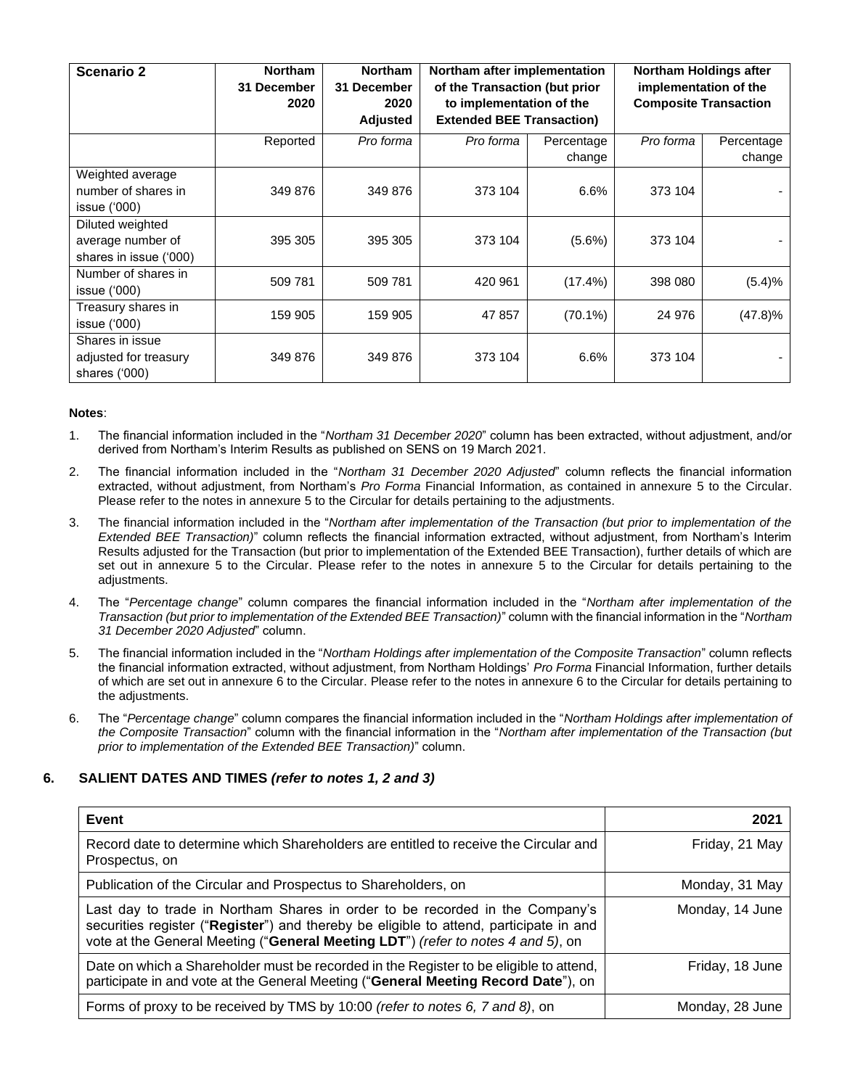| <b>Scenario 2</b>                                               | <b>Northam</b><br>31 December<br>2020 | <b>Northam</b><br>31 December<br>2020<br><b>Adjusted</b> | Northam after implementation<br>of the Transaction (but prior<br>to implementation of the<br><b>Extended BEE Transaction)</b> |                      | <b>Northam Holdings after</b><br>implementation of the<br><b>Composite Transaction</b> |                      |
|-----------------------------------------------------------------|---------------------------------------|----------------------------------------------------------|-------------------------------------------------------------------------------------------------------------------------------|----------------------|----------------------------------------------------------------------------------------|----------------------|
|                                                                 | Reported                              | Pro forma                                                | Pro forma                                                                                                                     | Percentage<br>change | Pro forma                                                                              | Percentage<br>change |
| Weighted average<br>number of shares in<br>issue ('000)         | 349 876                               | 349 876                                                  | 373 104                                                                                                                       | 6.6%                 | 373 104                                                                                |                      |
| Diluted weighted<br>average number of<br>shares in issue ('000) | 395 305                               | 395 305                                                  | 373 104                                                                                                                       | $(5.6\%)$            | 373 104                                                                                |                      |
| Number of shares in<br>issue ('000)                             | 509 781                               | 509 781                                                  | 420 961                                                                                                                       | (17.4%)              | 398 080                                                                                | (5.4)%               |
| Treasury shares in<br>issue ('000)                              | 159 905                               | 159 905                                                  | 47 857                                                                                                                        | $(70.1\%)$           | 24 976                                                                                 | (47.8)%              |
| Shares in issue<br>adjusted for treasury<br>shares ('000)       | 349 876                               | 349 876                                                  | 373 104                                                                                                                       | 6.6%                 | 373 104                                                                                |                      |

#### **Notes**:

- 1. The financial information included in the "*Northam 31 December 2020*" column has been extracted, without adjustment, and/or derived from Northam's Interim Results as published on SENS on 19 March 2021.
- 2. The financial information included in the "*Northam 31 December 2020 Adjusted*" column reflects the financial information extracted, without adjustment, from Northam's *Pro Forma* Financial Information, as contained in annexure 5 to the Circular. Please refer to the notes in annexure 5 to the Circular for details pertaining to the adjustments.
- 3. The financial information included in the "*Northam after implementation of the Transaction (but prior to implementation of the Extended BEE Transaction)*" column reflects the financial information extracted, without adjustment, from Northam's Interim Results adjusted for the Transaction (but prior to implementation of the Extended BEE Transaction), further details of which are set out in annexure 5 to the Circular. Please refer to the notes in annexure 5 to the Circular for details pertaining to the adjustments.
- 4. The "*Percentage change*" column compares the financial information included in the "*Northam after implementation of the Transaction (but prior to implementation of the Extended BEE Transaction)*" column with the financial information in the "*Northam 31 December 2020 Adjusted*" column.
- 5. The financial information included in the "*Northam Holdings after implementation of the Composite Transaction*" column reflects the financial information extracted, without adjustment, from Northam Holdings' *Pro Forma* Financial Information, further details of which are set out in annexure 6 to the Circular. Please refer to the notes in annexure 6 to the Circular for details pertaining to the adjustments.
- 6. The "*Percentage change*" column compares the financial information included in the "*Northam Holdings after implementation of the Composite Transaction*" column with the financial information in the "*Northam after implementation of the Transaction (but prior to implementation of the Extended BEE Transaction)*" column.

### <span id="page-6-0"></span>**6. SALIENT DATES AND TIMES** *(refer to notes 1, 2 and 3)*

| Event                                                                                                                                                                                                                                                      | 2021            |
|------------------------------------------------------------------------------------------------------------------------------------------------------------------------------------------------------------------------------------------------------------|-----------------|
| Record date to determine which Shareholders are entitled to receive the Circular and<br>Prospectus, on                                                                                                                                                     | Friday, 21 May  |
| Publication of the Circular and Prospectus to Shareholders, on                                                                                                                                                                                             | Monday, 31 May  |
| Last day to trade in Northam Shares in order to be recorded in the Company's<br>securities register ("Register") and thereby be eligible to attend, participate in and<br>vote at the General Meeting ("General Meeting LDT") (refer to notes 4 and 5), on | Monday, 14 June |
| Date on which a Shareholder must be recorded in the Register to be eligible to attend,<br>participate in and vote at the General Meeting ("General Meeting Record Date"), on                                                                               | Friday, 18 June |
| Forms of proxy to be received by TMS by 10:00 (refer to notes 6, 7 and 8), on                                                                                                                                                                              | Monday, 28 June |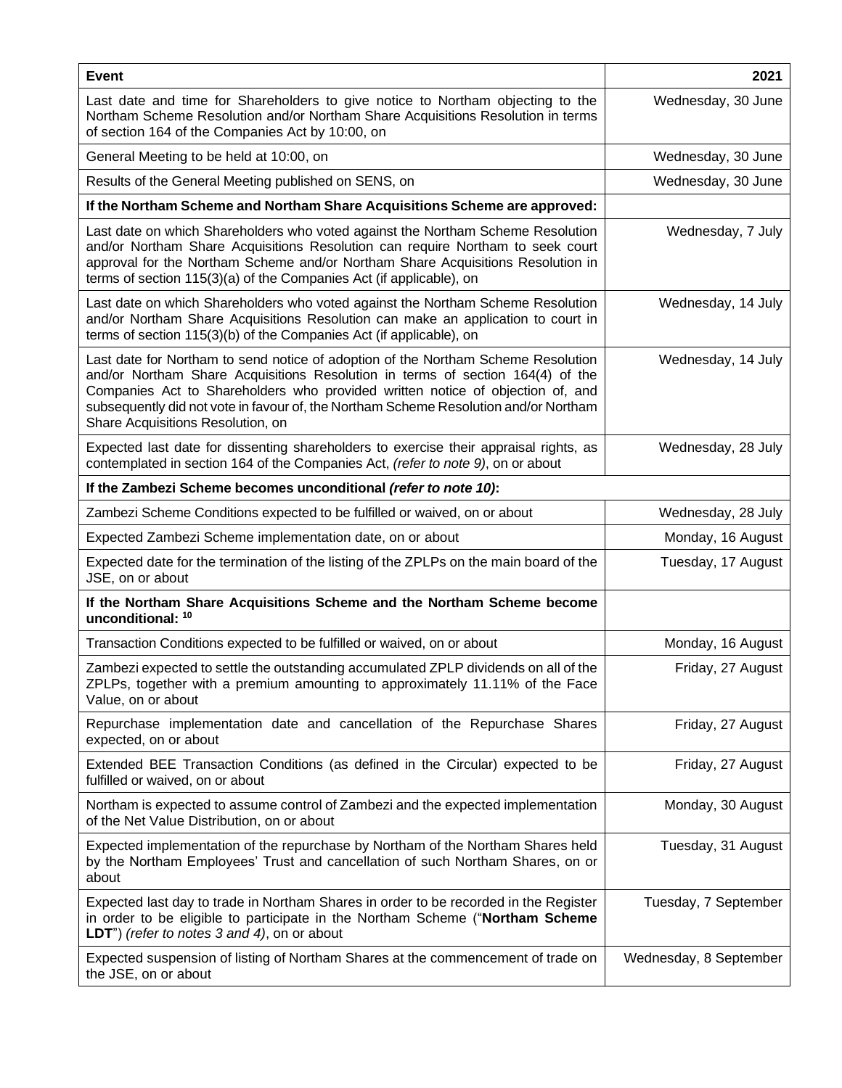| <b>Event</b>                                                                                                                                                                                                                                                                                                                                                                       | 2021                   |
|------------------------------------------------------------------------------------------------------------------------------------------------------------------------------------------------------------------------------------------------------------------------------------------------------------------------------------------------------------------------------------|------------------------|
| Last date and time for Shareholders to give notice to Northam objecting to the<br>Northam Scheme Resolution and/or Northam Share Acquisitions Resolution in terms<br>of section 164 of the Companies Act by 10:00, on                                                                                                                                                              | Wednesday, 30 June     |
| General Meeting to be held at 10:00, on                                                                                                                                                                                                                                                                                                                                            | Wednesday, 30 June     |
| Results of the General Meeting published on SENS, on                                                                                                                                                                                                                                                                                                                               | Wednesday, 30 June     |
| If the Northam Scheme and Northam Share Acquisitions Scheme are approved:                                                                                                                                                                                                                                                                                                          |                        |
| Last date on which Shareholders who voted against the Northam Scheme Resolution<br>and/or Northam Share Acquisitions Resolution can require Northam to seek court<br>approval for the Northam Scheme and/or Northam Share Acquisitions Resolution in<br>terms of section 115(3)(a) of the Companies Act (if applicable), on                                                        | Wednesday, 7 July      |
| Last date on which Shareholders who voted against the Northam Scheme Resolution<br>and/or Northam Share Acquisitions Resolution can make an application to court in<br>terms of section 115(3)(b) of the Companies Act (if applicable), on                                                                                                                                         | Wednesday, 14 July     |
| Last date for Northam to send notice of adoption of the Northam Scheme Resolution<br>and/or Northam Share Acquisitions Resolution in terms of section 164(4) of the<br>Companies Act to Shareholders who provided written notice of objection of, and<br>subsequently did not vote in favour of, the Northam Scheme Resolution and/or Northam<br>Share Acquisitions Resolution, on | Wednesday, 14 July     |
| Expected last date for dissenting shareholders to exercise their appraisal rights, as<br>contemplated in section 164 of the Companies Act, (refer to note 9), on or about                                                                                                                                                                                                          | Wednesday, 28 July     |
| If the Zambezi Scheme becomes unconditional (refer to note 10):                                                                                                                                                                                                                                                                                                                    |                        |
| Zambezi Scheme Conditions expected to be fulfilled or waived, on or about                                                                                                                                                                                                                                                                                                          | Wednesday, 28 July     |
| Expected Zambezi Scheme implementation date, on or about                                                                                                                                                                                                                                                                                                                           | Monday, 16 August      |
| Expected date for the termination of the listing of the ZPLPs on the main board of the<br>JSE, on or about                                                                                                                                                                                                                                                                         | Tuesday, 17 August     |
| If the Northam Share Acquisitions Scheme and the Northam Scheme become<br>unconditional: 10                                                                                                                                                                                                                                                                                        |                        |
| Transaction Conditions expected to be fulfilled or waived, on or about                                                                                                                                                                                                                                                                                                             | Monday, 16 August      |
| Zambezi expected to settle the outstanding accumulated ZPLP dividends on all of the<br>ZPLPs, together with a premium amounting to approximately 11.11% of the Face<br>Value, on or about                                                                                                                                                                                          | Friday, 27 August      |
| Repurchase implementation date and cancellation of the Repurchase Shares<br>expected, on or about                                                                                                                                                                                                                                                                                  | Friday, 27 August      |
| Extended BEE Transaction Conditions (as defined in the Circular) expected to be<br>fulfilled or waived, on or about                                                                                                                                                                                                                                                                | Friday, 27 August      |
| Northam is expected to assume control of Zambezi and the expected implementation<br>of the Net Value Distribution, on or about                                                                                                                                                                                                                                                     | Monday, 30 August      |
| Expected implementation of the repurchase by Northam of the Northam Shares held<br>by the Northam Employees' Trust and cancellation of such Northam Shares, on or<br>about                                                                                                                                                                                                         | Tuesday, 31 August     |
| Expected last day to trade in Northam Shares in order to be recorded in the Register<br>in order to be eligible to participate in the Northam Scheme ("Northam Scheme<br><b>LDT</b> ") (refer to notes $3$ and $4$ ), on or about                                                                                                                                                  | Tuesday, 7 September   |
| Expected suspension of listing of Northam Shares at the commencement of trade on<br>the JSE, on or about                                                                                                                                                                                                                                                                           | Wednesday, 8 September |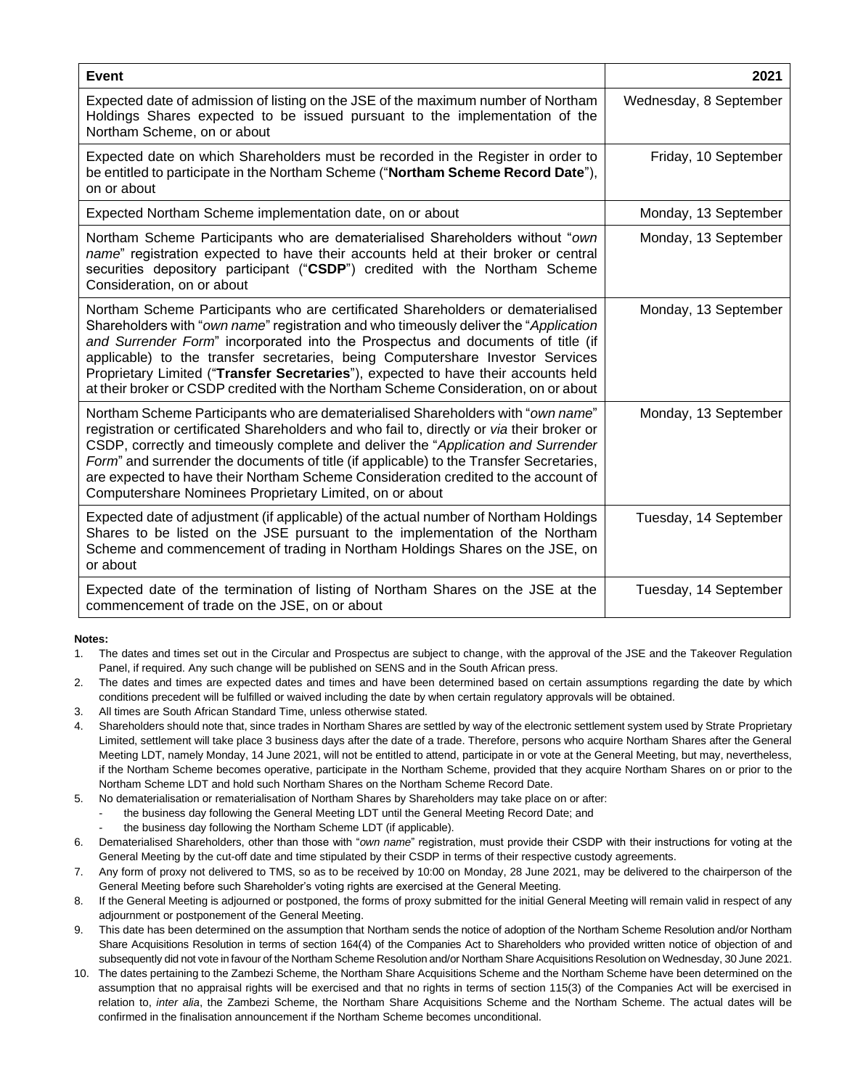| <b>Event</b>                                                                                                                                                                                                                                                                                                                                                                                                                                                                                                               | 2021                   |
|----------------------------------------------------------------------------------------------------------------------------------------------------------------------------------------------------------------------------------------------------------------------------------------------------------------------------------------------------------------------------------------------------------------------------------------------------------------------------------------------------------------------------|------------------------|
| Expected date of admission of listing on the JSE of the maximum number of Northam<br>Holdings Shares expected to be issued pursuant to the implementation of the<br>Northam Scheme, on or about                                                                                                                                                                                                                                                                                                                            | Wednesday, 8 September |
| Expected date on which Shareholders must be recorded in the Register in order to<br>be entitled to participate in the Northam Scheme ("Northam Scheme Record Date"),<br>on or about                                                                                                                                                                                                                                                                                                                                        | Friday, 10 September   |
| Expected Northam Scheme implementation date, on or about                                                                                                                                                                                                                                                                                                                                                                                                                                                                   | Monday, 13 September   |
| Northam Scheme Participants who are dematerialised Shareholders without "own<br>name" registration expected to have their accounts held at their broker or central<br>securities depository participant ("CSDP") credited with the Northam Scheme<br>Consideration, on or about                                                                                                                                                                                                                                            | Monday, 13 September   |
| Northam Scheme Participants who are certificated Shareholders or dematerialised<br>Shareholders with "own name" registration and who timeously deliver the "Application"<br>and Surrender Form" incorporated into the Prospectus and documents of title (if<br>applicable) to the transfer secretaries, being Computershare Investor Services<br>Proprietary Limited ("Transfer Secretaries"), expected to have their accounts held<br>at their broker or CSDP credited with the Northam Scheme Consideration, on or about | Monday, 13 September   |
| Northam Scheme Participants who are dematerialised Shareholders with "own name"<br>registration or certificated Shareholders and who fail to, directly or via their broker or<br>CSDP, correctly and timeously complete and deliver the "Application and Surrender<br>Form" and surrender the documents of title (if applicable) to the Transfer Secretaries,<br>are expected to have their Northam Scheme Consideration credited to the account of<br>Computershare Nominees Proprietary Limited, on or about             | Monday, 13 September   |
| Expected date of adjustment (if applicable) of the actual number of Northam Holdings<br>Shares to be listed on the JSE pursuant to the implementation of the Northam<br>Scheme and commencement of trading in Northam Holdings Shares on the JSE, on<br>or about                                                                                                                                                                                                                                                           | Tuesday, 14 September  |
| Expected date of the termination of listing of Northam Shares on the JSE at the<br>commencement of trade on the JSE, on or about                                                                                                                                                                                                                                                                                                                                                                                           | Tuesday, 14 September  |

#### **Notes:**

1. The dates and times set out in the Circular and Prospectus are subject to change, with the approval of the JSE and the Takeover Regulation Panel, if required. Any such change will be published on SENS and in the South African press.

- 2. The dates and times are expected dates and times and have been determined based on certain assumptions regarding the date by which conditions precedent will be fulfilled or waived including the date by when certain regulatory approvals will be obtained.
- 3. All times are South African Standard Time, unless otherwise stated.
- 4. Shareholders should note that, since trades in Northam Shares are settled by way of the electronic settlement system used by Strate Proprietary Limited, settlement will take place 3 business days after the date of a trade. Therefore, persons who acquire Northam Shares after the General Meeting LDT, namely Monday, 14 June 2021, will not be entitled to attend, participate in or vote at the General Meeting, but may, nevertheless, if the Northam Scheme becomes operative, participate in the Northam Scheme, provided that they acquire Northam Shares on or prior to the Northam Scheme LDT and hold such Northam Shares on the Northam Scheme Record Date.
- 5. No dematerialisation or rematerialisation of Northam Shares by Shareholders may take place on or after:
	- the business day following the General Meeting LDT until the General Meeting Record Date; and
		- the business day following the Northam Scheme LDT (if applicable).
- 6. Dematerialised Shareholders, other than those with "*own name*" registration, must provide their CSDP with their instructions for voting at the General Meeting by the cut-off date and time stipulated by their CSDP in terms of their respective custody agreements.
- 7. Any form of proxy not delivered to TMS, so as to be received by 10:00 on Monday, 28 June 2021, may be delivered to the chairperson of the General Meeting before such Shareholder's voting rights are exercised at the General Meeting.
- 8. If the General Meeting is adjourned or postponed, the forms of proxy submitted for the initial General Meeting will remain valid in respect of any adjournment or postponement of the General Meeting.
- 9. This date has been determined on the assumption that Northam sends the notice of adoption of the Northam Scheme Resolution and/or Northam Share Acquisitions Resolution in terms of section 164(4) of the Companies Act to Shareholders who provided written notice of objection of and subsequently did not vote in favour of the Northam Scheme Resolution and/or Northam Share Acquisitions Resolution on Wednesday, 30 June 2021.
- 10. The dates pertaining to the Zambezi Scheme, the Northam Share Acquisitions Scheme and the Northam Scheme have been determined on the assumption that no appraisal rights will be exercised and that no rights in terms of section 115(3) of the Companies Act will be exercised in relation to, *inter alia*, the Zambezi Scheme, the Northam Share Acquisitions Scheme and the Northam Scheme. The actual dates will be confirmed in the finalisation announcement if the Northam Scheme becomes unconditional.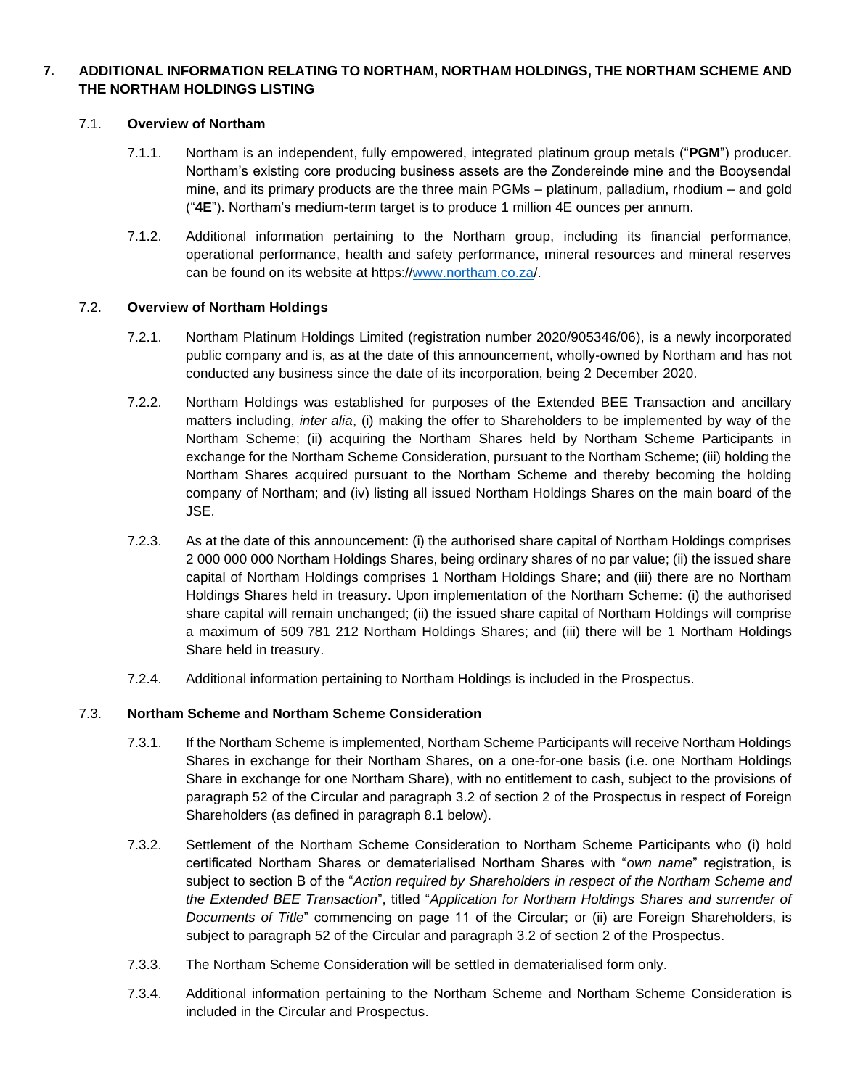## **7. ADDITIONAL INFORMATION RELATING TO NORTHAM, NORTHAM HOLDINGS, THE NORTHAM SCHEME AND THE NORTHAM HOLDINGS LISTING**

## 7.1. **Overview of Northam**

- 7.1.1. Northam is an independent, fully empowered, integrated platinum group metals ("**PGM**") producer. Northam's existing core producing business assets are the Zondereinde mine and the Booysendal mine, and its primary products are the three main PGMs – platinum, palladium, rhodium – and gold ("**4E**"). Northam's medium-term target is to produce 1 million 4E ounces per annum.
- 7.1.2. Additional information pertaining to the Northam group, including its financial performance, operational performance, health and safety performance, mineral resources and mineral reserves can be found on its website at https:/[/www.northam.co.za/](http://www.northam.co.za/).

#### 7.2. **Overview of Northam Holdings**

- 7.2.1. Northam Platinum Holdings Limited (registration number 2020/905346/06), is a newly incorporated public company and is, as at the date of this announcement, wholly-owned by Northam and has not conducted any business since the date of its incorporation, being 2 December 2020.
- 7.2.2. Northam Holdings was established for purposes of the Extended BEE Transaction and ancillary matters including, *inter alia*, (i) making the offer to Shareholders to be implemented by way of the Northam Scheme; (ii) acquiring the Northam Shares held by Northam Scheme Participants in exchange for the Northam Scheme Consideration, pursuant to the Northam Scheme; (iii) holding the Northam Shares acquired pursuant to the Northam Scheme and thereby becoming the holding company of Northam; and (iv) listing all issued Northam Holdings Shares on the main board of the JSE.
- 7.2.3. As at the date of this announcement: (i) the authorised share capital of Northam Holdings comprises 2 000 000 000 Northam Holdings Shares, being ordinary shares of no par value; (ii) the issued share capital of Northam Holdings comprises 1 Northam Holdings Share; and (iii) there are no Northam Holdings Shares held in treasury. Upon implementation of the Northam Scheme: (i) the authorised share capital will remain unchanged; (ii) the issued share capital of Northam Holdings will comprise a maximum of 509 781 212 Northam Holdings Shares; and (iii) there will be 1 Northam Holdings Share held in treasury.
- 7.2.4. Additional information pertaining to Northam Holdings is included in the Prospectus.

## 7.3. **Northam Scheme and Northam Scheme Consideration**

- 7.3.1. If the Northam Scheme is implemented, Northam Scheme Participants will receive Northam Holdings Shares in exchange for their Northam Shares, on a one-for-one basis (i.e. one Northam Holdings Share in exchange for one Northam Share), with no entitlement to cash, subject to the provisions of paragraph 52 of the Circular and paragraph 3.2 of section 2 of the Prospectus in respect of Foreign Shareholders (as defined in paragraph [8.1](#page-12-0) below).
- 7.3.2. Settlement of the Northam Scheme Consideration to Northam Scheme Participants who (i) hold certificated Northam Shares or dematerialised Northam Shares with "*own name*" registration, is subject to section B of the "*Action required by Shareholders in respect of the Northam Scheme and the Extended BEE Transaction*", titled "*Application for Northam Holdings Shares and surrender of Documents of Title*" commencing on page 11 of the Circular; or (ii) are Foreign Shareholders, is subject to paragraph 52 of the Circular and paragraph 3.2 of section 2 of the Prospectus.
- 7.3.3. The Northam Scheme Consideration will be settled in dematerialised form only.
- 7.3.4. Additional information pertaining to the Northam Scheme and Northam Scheme Consideration is included in the Circular and Prospectus.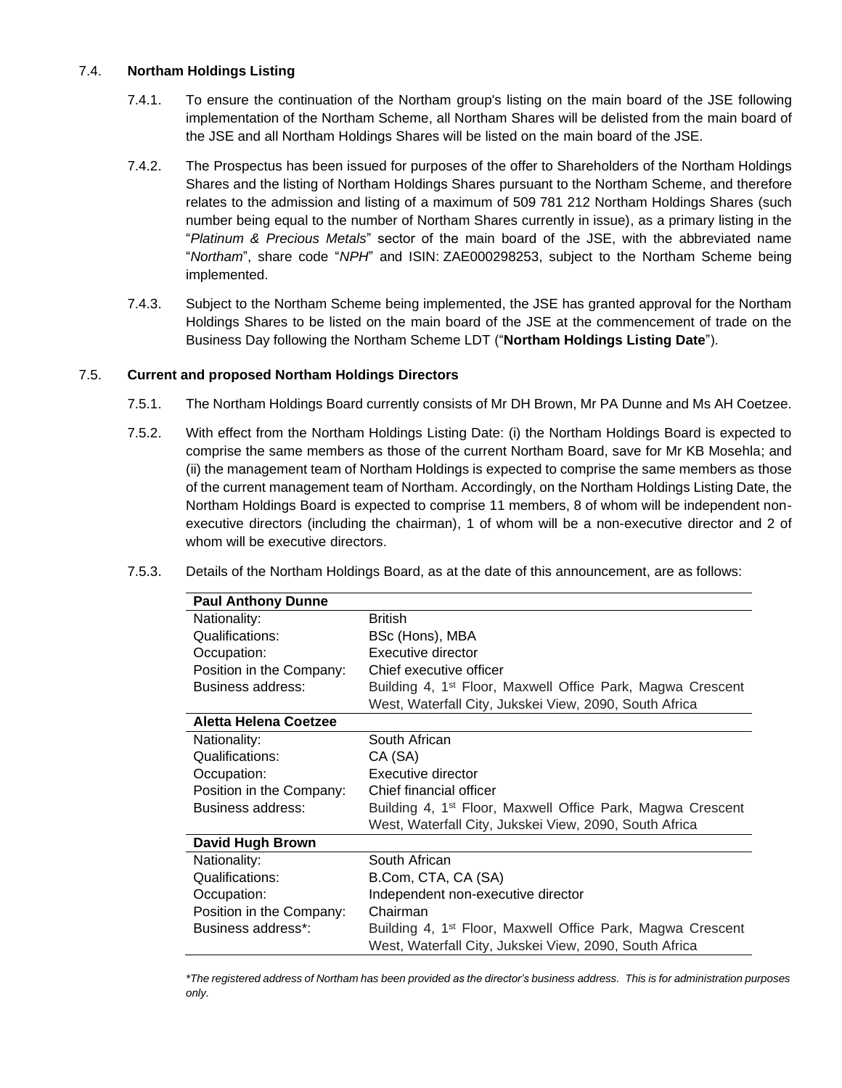## 7.4. **Northam Holdings Listing**

- 7.4.1. To ensure the continuation of the Northam group's listing on the main board of the JSE following implementation of the Northam Scheme, all Northam Shares will be delisted from the main board of the JSE and all Northam Holdings Shares will be listed on the main board of the JSE.
- 7.4.2. The Prospectus has been issued for purposes of the offer to Shareholders of the Northam Holdings Shares and the listing of Northam Holdings Shares pursuant to the Northam Scheme, and therefore relates to the admission and listing of a maximum of 509 781 212 Northam Holdings Shares (such number being equal to the number of Northam Shares currently in issue), as a primary listing in the "*Platinum & Precious Metals*" sector of the main board of the JSE, with the abbreviated name "*Northam*", share code "*NPH*" and ISIN: ZAE000298253, subject to the Northam Scheme being implemented.
- 7.4.3. Subject to the Northam Scheme being implemented, the JSE has granted approval for the Northam Holdings Shares to be listed on the main board of the JSE at the commencement of trade on the Business Day following the Northam Scheme LDT ("**Northam Holdings Listing Date**").

## 7.5. **Current and proposed Northam Holdings Directors**

- 7.5.1. The Northam Holdings Board currently consists of Mr DH Brown, Mr PA Dunne and Ms AH Coetzee.
- 7.5.2. With effect from the Northam Holdings Listing Date: (i) the Northam Holdings Board is expected to comprise the same members as those of the current Northam Board, save for Mr KB Mosehla; and (ii) the management team of Northam Holdings is expected to comprise the same members as those of the current management team of Northam. Accordingly, on the Northam Holdings Listing Date, the Northam Holdings Board is expected to comprise 11 members, 8 of whom will be independent nonexecutive directors (including the chairman), 1 of whom will be a non-executive director and 2 of whom will be executive directors.

| <b>Paul Anthony Dunne</b> |                                                                        |
|---------------------------|------------------------------------------------------------------------|
| Nationality:              | <b>British</b>                                                         |
| Qualifications:           | BSc (Hons), MBA                                                        |
| Occupation:               | Executive director                                                     |
| Position in the Company:  | Chief executive officer                                                |
| Business address:         | Building 4, 1 <sup>st</sup> Floor, Maxwell Office Park, Magwa Crescent |
|                           | West, Waterfall City, Jukskei View, 2090, South Africa                 |
| Aletta Helena Coetzee     |                                                                        |
| Nationality:              | South African                                                          |
| Qualifications:           | CA (SA)                                                                |
| Occupation:               | Executive director                                                     |
| Position in the Company:  | Chief financial officer                                                |
| Business address:         | Building 4, 1 <sup>st</sup> Floor, Maxwell Office Park, Magwa Crescent |
|                           | West, Waterfall City, Jukskei View, 2090, South Africa                 |
| <b>David Hugh Brown</b>   |                                                                        |
| Nationality:              | South African                                                          |
| Qualifications:           | B.Com, CTA, CA (SA)                                                    |
| Occupation:               | Independent non-executive director                                     |
| Position in the Company:  | Chairman                                                               |
| Business address*:        | Building 4, 1 <sup>st</sup> Floor, Maxwell Office Park, Magwa Crescent |
|                           | West, Waterfall City, Jukskei View, 2090, South Africa                 |

7.5.3. Details of the Northam Holdings Board, as at the date of this announcement, are as follows:

*\*The registered address of Northam has been provided as the director's business address. This is for administration purposes only.*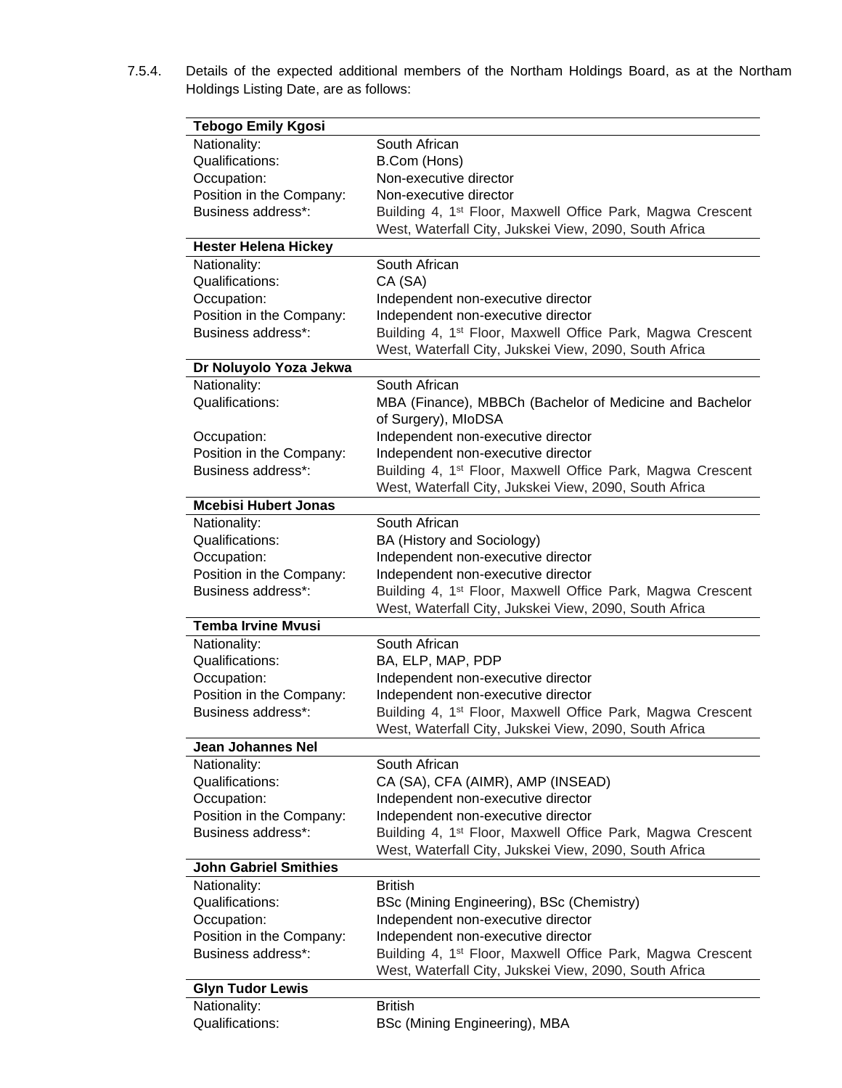7.5.4. Details of the expected additional members of the Northam Holdings Board, as at the Northam Holdings Listing Date, are as follows:

| <b>Tebogo Emily Kgosi</b>                      |                                                                                                                                  |
|------------------------------------------------|----------------------------------------------------------------------------------------------------------------------------------|
| Nationality:                                   | South African                                                                                                                    |
| Qualifications:                                | B.Com (Hons)                                                                                                                     |
| Occupation:                                    | Non-executive director                                                                                                           |
| Position in the Company:                       | Non-executive director                                                                                                           |
| Business address*:                             | Building 4, 1 <sup>st</sup> Floor, Maxwell Office Park, Magwa Crescent                                                           |
|                                                | West, Waterfall City, Jukskei View, 2090, South Africa                                                                           |
| <b>Hester Helena Hickey</b>                    |                                                                                                                                  |
| Nationality:                                   | South African                                                                                                                    |
| Qualifications:                                | CA (SA)                                                                                                                          |
| Occupation:                                    | Independent non-executive director                                                                                               |
| Position in the Company:                       | Independent non-executive director                                                                                               |
| Business address*:                             | Building 4, 1 <sup>st</sup> Floor, Maxwell Office Park, Magwa Crescent<br>West, Waterfall City, Jukskei View, 2090, South Africa |
| Dr Noluyolo Yoza Jekwa                         |                                                                                                                                  |
| Nationality:                                   | South African                                                                                                                    |
| Qualifications:                                | MBA (Finance), MBBCh (Bachelor of Medicine and Bachelor                                                                          |
|                                                | of Surgery), MIoDSA                                                                                                              |
| Occupation:                                    | Independent non-executive director                                                                                               |
| Position in the Company:                       | Independent non-executive director                                                                                               |
| Business address*:                             | Building 4, 1 <sup>st</sup> Floor, Maxwell Office Park, Magwa Crescent                                                           |
|                                                | West, Waterfall City, Jukskei View, 2090, South Africa                                                                           |
| <b>Mcebisi Hubert Jonas</b>                    |                                                                                                                                  |
| Nationality:                                   | South African                                                                                                                    |
| Qualifications:                                | BA (History and Sociology)                                                                                                       |
| Occupation:                                    | Independent non-executive director                                                                                               |
| Position in the Company:                       | Independent non-executive director                                                                                               |
| Business address*:                             | Building 4, 1 <sup>st</sup> Floor, Maxwell Office Park, Magwa Crescent                                                           |
|                                                | West, Waterfall City, Jukskei View, 2090, South Africa                                                                           |
| <b>Temba Irvine Mvusi</b>                      |                                                                                                                                  |
| Nationality:                                   | South African                                                                                                                    |
| Qualifications:                                | BA, ELP, MAP, PDP                                                                                                                |
| Occupation:                                    | Independent non-executive director                                                                                               |
| Position in the Company:<br>Business address*: | Independent non-executive director                                                                                               |
|                                                | Building 4, 1 <sup>st</sup> Floor, Maxwell Office Park, Magwa Crescent<br>West, Waterfall City, Jukskei View, 2090, South Africa |
| Jean Johannes Nel                              |                                                                                                                                  |
| Nationality:                                   | South African                                                                                                                    |
| Qualifications:                                | CA (SA), CFA (AIMR), AMP (INSEAD)                                                                                                |
| Occupation:                                    | Independent non-executive director                                                                                               |
| Position in the Company:                       | Independent non-executive director                                                                                               |
| Business address*:                             | Building 4, 1 <sup>st</sup> Floor, Maxwell Office Park, Magwa Crescent                                                           |
|                                                | West, Waterfall City, Jukskei View, 2090, South Africa                                                                           |
| <b>John Gabriel Smithies</b>                   |                                                                                                                                  |
| Nationality:                                   | <b>British</b>                                                                                                                   |
| Qualifications:                                | BSc (Mining Engineering), BSc (Chemistry)                                                                                        |
| Occupation:                                    | Independent non-executive director                                                                                               |
| Position in the Company:                       | Independent non-executive director                                                                                               |
| Business address*:                             | Building 4, 1 <sup>st</sup> Floor, Maxwell Office Park, Magwa Crescent                                                           |
|                                                | West, Waterfall City, Jukskei View, 2090, South Africa                                                                           |
| <b>Glyn Tudor Lewis</b>                        | <b>British</b>                                                                                                                   |
| Nationality:<br>Qualifications:                | BSc (Mining Engineering), MBA                                                                                                    |
|                                                |                                                                                                                                  |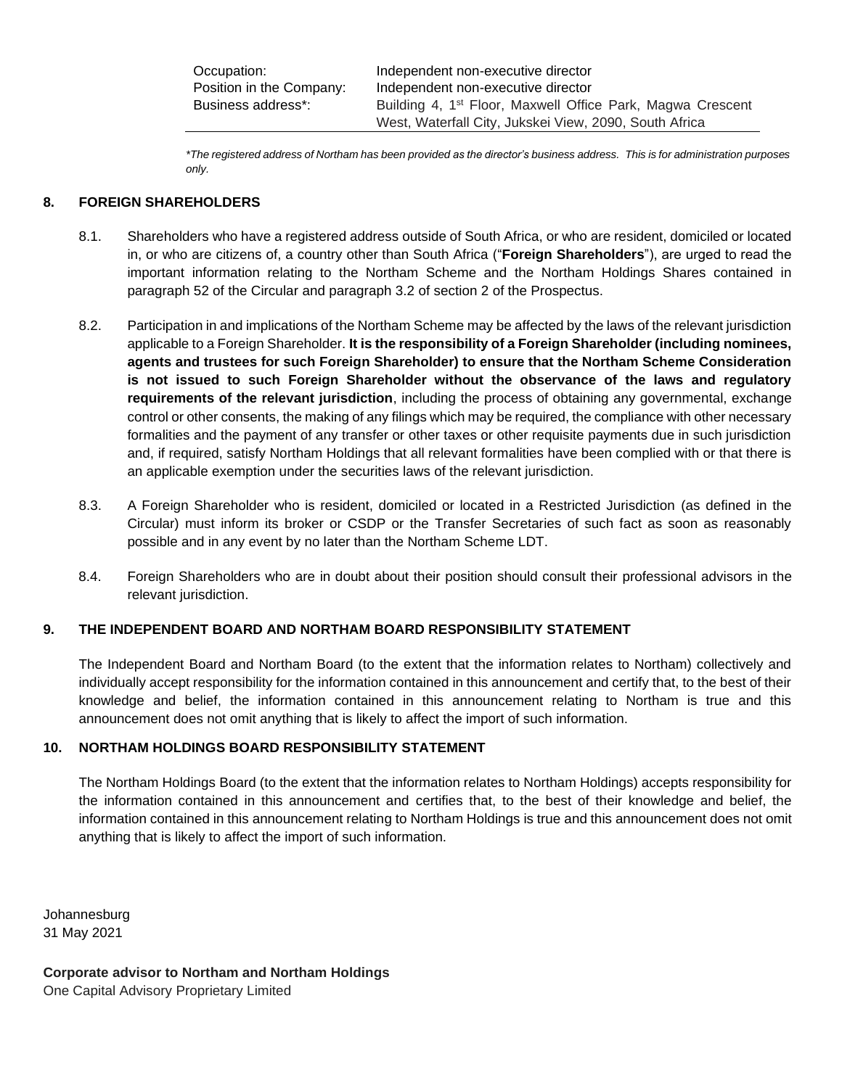Occupation: Independent non-executive director Position in the Company: Independent non-executive director Business address\*: Building 4, 1<sup>st</sup> Floor, Maxwell Office Park, Magwa Crescent West, Waterfall City, Jukskei View, 2090, South Africa

*\*The registered address of Northam has been provided as the director's business address. This is for administration purposes only.*

## <span id="page-12-0"></span>**8. FOREIGN SHAREHOLDERS**

- 8.1. Shareholders who have a registered address outside of South Africa, or who are resident, domiciled or located in, or who are citizens of, a country other than South Africa ("**Foreign Shareholders**"), are urged to read the important information relating to the Northam Scheme and the Northam Holdings Shares contained in paragraph 52 of the Circular and paragraph 3.2 of section 2 of the Prospectus.
- 8.2. Participation in and implications of the Northam Scheme may be affected by the laws of the relevant jurisdiction applicable to a Foreign Shareholder. **It is the responsibility of a Foreign Shareholder (including nominees, agents and trustees for such Foreign Shareholder) to ensure that the Northam Scheme Consideration is not issued to such Foreign Shareholder without the observance of the laws and regulatory requirements of the relevant jurisdiction**, including the process of obtaining any governmental, exchange control or other consents, the making of any filings which may be required, the compliance with other necessary formalities and the payment of any transfer or other taxes or other requisite payments due in such jurisdiction and, if required, satisfy Northam Holdings that all relevant formalities have been complied with or that there is an applicable exemption under the securities laws of the relevant jurisdiction.
- 8.3. A Foreign Shareholder who is resident, domiciled or located in a Restricted Jurisdiction (as defined in the Circular) must inform its broker or CSDP or the Transfer Secretaries of such fact as soon as reasonably possible and in any event by no later than the Northam Scheme LDT.
- 8.4. Foreign Shareholders who are in doubt about their position should consult their professional advisors in the relevant jurisdiction.

## **9. THE INDEPENDENT BOARD AND NORTHAM BOARD RESPONSIBILITY STATEMENT**

The Independent Board and Northam Board (to the extent that the information relates to Northam) collectively and individually accept responsibility for the information contained in this announcement and certify that, to the best of their knowledge and belief, the information contained in this announcement relating to Northam is true and this announcement does not omit anything that is likely to affect the import of such information.

#### **10. NORTHAM HOLDINGS BOARD RESPONSIBILITY STATEMENT**

The Northam Holdings Board (to the extent that the information relates to Northam Holdings) accepts responsibility for the information contained in this announcement and certifies that, to the best of their knowledge and belief, the information contained in this announcement relating to Northam Holdings is true and this announcement does not omit anything that is likely to affect the import of such information.

Johannesburg 31 May 2021

**Corporate advisor to Northam and Northam Holdings** One Capital Advisory Proprietary Limited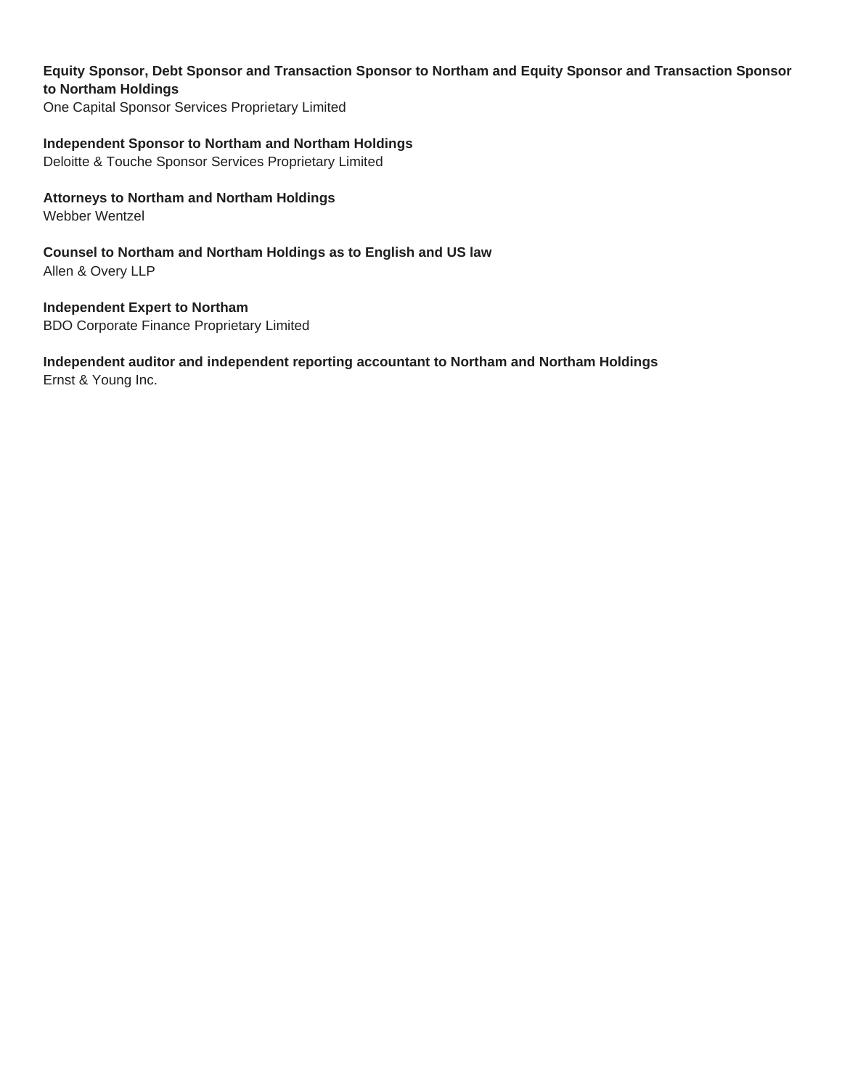# **Equity Sponsor, Debt Sponsor and Transaction Sponsor to Northam and Equity Sponsor and Transaction Sponsor to Northam Holdings**

One Capital Sponsor Services Proprietary Limited

## **Independent Sponsor to Northam and Northam Holdings**

Deloitte & Touche Sponsor Services Proprietary Limited

# **Attorneys to Northam and Northam Holdings**

Webber Wentzel

**Counsel to Northam and Northam Holdings as to English and US law** Allen & Overy LLP

**Independent Expert to Northam** BDO Corporate Finance Proprietary Limited

# **Independent auditor and independent reporting accountant to Northam and Northam Holdings**

Ernst & Young Inc.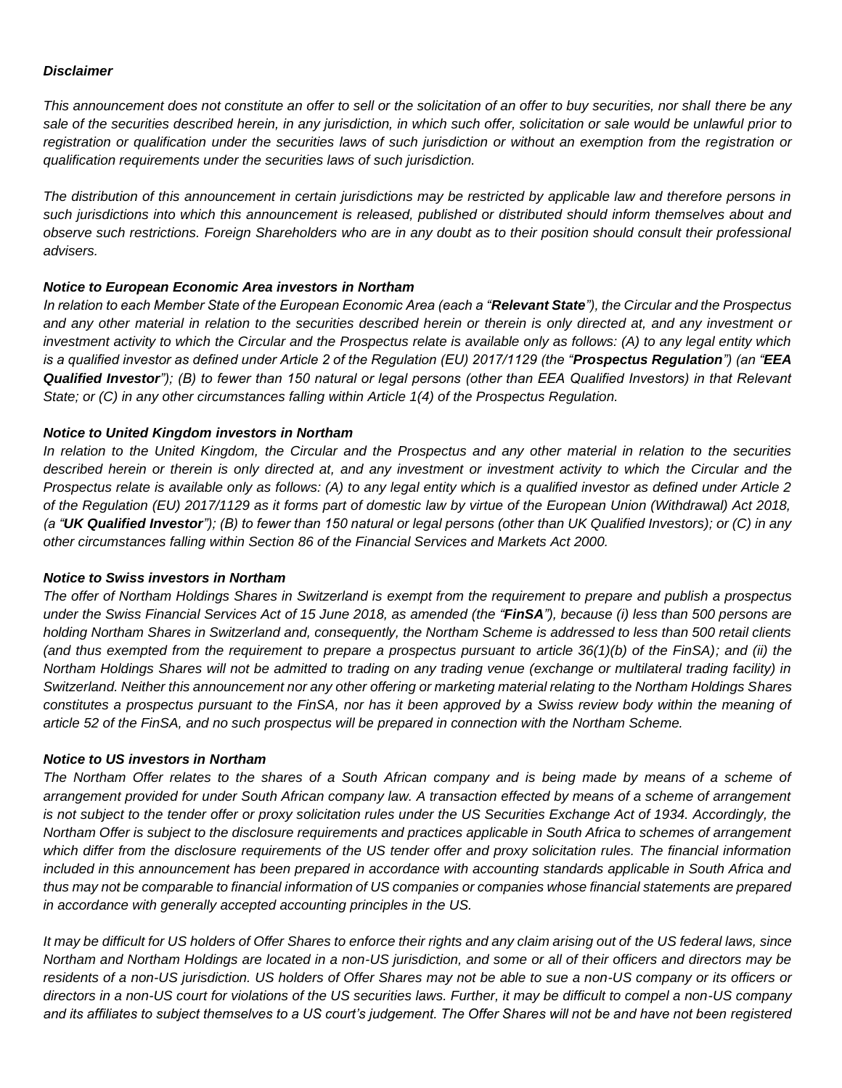#### *Disclaimer*

*This announcement does not constitute an offer to sell or the solicitation of an offer to buy securities, nor shall there be any sale of the securities described herein, in any jurisdiction, in which such offer, solicitation or sale would be unlawful prior to registration or qualification under the securities laws of such jurisdiction or without an exemption from the registration or qualification requirements under the securities laws of such jurisdiction.*

*The distribution of this announcement in certain jurisdictions may be restricted by applicable law and therefore persons in such jurisdictions into which this announcement is released, published or distributed should inform themselves about and observe such restrictions. Foreign Shareholders who are in any doubt as to their position should consult their professional advisers.*

## *Notice to European Economic Area investors in Northam*

*In relation to each Member State of the European Economic Area (each a "Relevant State"), the Circular and the Prospectus and any other material in relation to the securities described herein or therein is only directed at, and any investment or investment activity to which the Circular and the Prospectus relate is available only as follows: (A) to any legal entity which is a qualified investor as defined under Article 2 of the Regulation (EU) 2017/1129 (the "Prospectus Regulation") (an "EEA Qualified Investor"); (B) to fewer than 150 natural or legal persons (other than EEA Qualified Investors) in that Relevant State; or (C) in any other circumstances falling within Article 1(4) of the Prospectus Regulation.*

#### *Notice to United Kingdom investors in Northam*

*In relation to the United Kingdom, the Circular and the Prospectus and any other material in relation to the securities described herein or therein is only directed at, and any investment or investment activity to which the Circular and the Prospectus relate is available only as follows: (A) to any legal entity which is a qualified investor as defined under Article 2 of the Regulation (EU) 2017/1129 as it forms part of domestic law by virtue of the European Union (Withdrawal) Act 2018, (a "UK Qualified Investor"); (B) to fewer than 150 natural or legal persons (other than UK Qualified Investors); or (C) in any other circumstances falling within Section 86 of the Financial Services and Markets Act 2000.*

#### *Notice to Swiss investors in Northam*

*The offer of Northam Holdings Shares in Switzerland is exempt from the requirement to prepare and publish a prospectus under the Swiss Financial Services Act of 15 June 2018, as amended (the "FinSA"), because (i) less than 500 persons are holding Northam Shares in Switzerland and, consequently, the Northam Scheme is addressed to less than 500 retail clients (and thus exempted from the requirement to prepare a prospectus pursuant to article 36(1)(b) of the FinSA); and (ii) the Northam Holdings Shares will not be admitted to trading on any trading venue (exchange or multilateral trading facility) in Switzerland. Neither this announcement nor any other offering or marketing material relating to the Northam Holdings Shares constitutes a prospectus pursuant to the FinSA, nor has it been approved by a Swiss review body within the meaning of article 52 of the FinSA, and no such prospectus will be prepared in connection with the Northam Scheme.*

#### *Notice to US investors in Northam*

*The Northam Offer relates to the shares of a South African company and is being made by means of a scheme of arrangement provided for under South African company law. A transaction effected by means of a scheme of arrangement is not subject to the tender offer or proxy solicitation rules under the US Securities Exchange Act of 1934. Accordingly, the Northam Offer is subject to the disclosure requirements and practices applicable in South Africa to schemes of arrangement which differ from the disclosure requirements of the US tender offer and proxy solicitation rules. The financial information included in this announcement has been prepared in accordance with accounting standards applicable in South Africa and thus may not be comparable to financial information of US companies or companies whose financial statements are prepared in accordance with generally accepted accounting principles in the US.* 

*It may be difficult for US holders of Offer Shares to enforce their rights and any claim arising out of the US federal laws, since Northam and Northam Holdings are located in a non-US jurisdiction, and some or all of their officers and directors may be residents of a non-US jurisdiction. US holders of Offer Shares may not be able to sue a non-US company or its officers or directors in a non-US court for violations of the US securities laws. Further, it may be difficult to compel a non-US company and its affiliates to subject themselves to a US court's judgement. The Offer Shares will not be and have not been registered*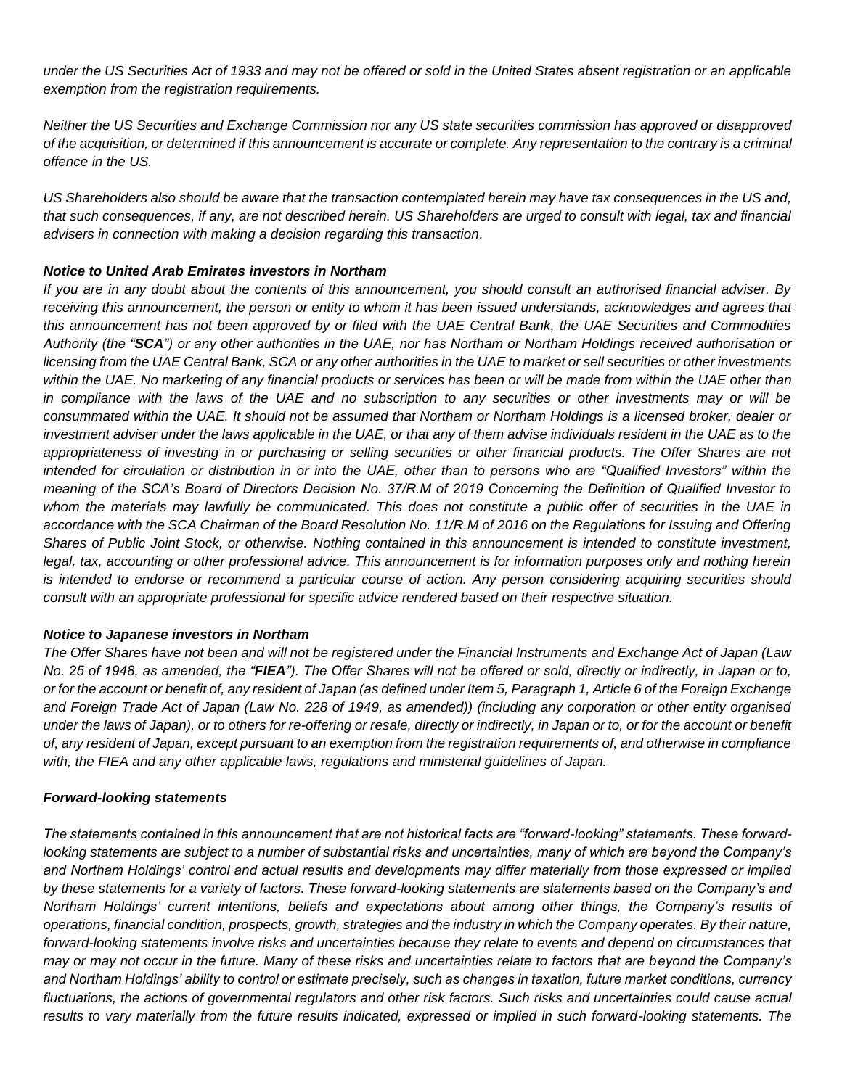*under the US Securities Act of 1933 and may not be offered or sold in the United States absent registration or an applicable exemption from the registration requirements.*

*Neither the US Securities and Exchange Commission nor any US state securities commission has approved or disapproved of the acquisition, or determined if this announcement is accurate or complete. Any representation to the contrary is a criminal offence in the US.* 

*US Shareholders also should be aware that the transaction contemplated herein may have tax consequences in the US and, that such consequences, if any, are not described herein. US Shareholders are urged to consult with legal, tax and financial advisers in connection with making a decision regarding this transaction.*

## *Notice to United Arab Emirates investors in Northam*

*If you are in any doubt about the contents of this announcement, you should consult an authorised financial adviser. By receiving this announcement, the person or entity to whom it has been issued understands, acknowledges and agrees that this announcement has not been approved by or filed with the UAE Central Bank, the UAE Securities and Commodities Authority (the "SCA") or any other authorities in the UAE, nor has Northam or Northam Holdings received authorisation or licensing from the UAE Central Bank, SCA or any other authorities in the UAE to market or sell securities or other investments within the UAE. No marketing of any financial products or services has been or will be made from within the UAE other than in compliance with the laws of the UAE and no subscription to any securities or other investments may or will be consummated within the UAE. It should not be assumed that Northam or Northam Holdings is a licensed broker, dealer or investment adviser under the laws applicable in the UAE, or that any of them advise individuals resident in the UAE as to the appropriateness of investing in or purchasing or selling securities or other financial products. The Offer Shares are not intended for circulation or distribution in or into the UAE, other than to persons who are "Qualified Investors" within the meaning of the SCA's Board of Directors Decision No. 37/R.M of 2019 Concerning the Definition of Qualified Investor to whom the materials may lawfully be communicated. This does not constitute a public offer of securities in the UAE in accordance with the SCA Chairman of the Board Resolution No. 11/R.M of 2016 on the Regulations for Issuing and Offering Shares of Public Joint Stock, or otherwise. Nothing contained in this announcement is intended to constitute investment, legal, tax, accounting or other professional advice. This announcement is for information purposes only and nothing herein is intended to endorse or recommend a particular course of action. Any person considering acquiring securities should consult with an appropriate professional for specific advice rendered based on their respective situation.*

#### *Notice to Japanese investors in Northam*

*The Offer Shares have not been and will not be registered under the Financial Instruments and Exchange Act of Japan (Law No. 25 of 1948, as amended, the "FIEA"). The Offer Shares will not be offered or sold, directly or indirectly, in Japan or to, or for the account or benefit of, any resident of Japan (as defined under Item 5, Paragraph 1, Article 6 of the Foreign Exchange and Foreign Trade Act of Japan (Law No. 228 of 1949, as amended)) (including any corporation or other entity organised under the laws of Japan), or to others for re-offering or resale, directly or indirectly, in Japan or to, or for the account or benefit of, any resident of Japan, except pursuant to an exemption from the registration requirements of, and otherwise in compliance with, the FIEA and any other applicable laws, regulations and ministerial guidelines of Japan.*

#### *Forward-looking statements*

*The statements contained in this announcement that are not historical facts are "forward-looking" statements. These forwardlooking statements are subject to a number of substantial risks and uncertainties, many of which are beyond the Company's and Northam Holdings' control and actual results and developments may differ materially from those expressed or implied by these statements for a variety of factors. These forward-looking statements are statements based on the Company's and Northam Holdings' current intentions, beliefs and expectations about among other things, the Company's results of operations, financial condition, prospects, growth, strategies and the industry in which the Company operates. By their nature, forward-looking statements involve risks and uncertainties because they relate to events and depend on circumstances that may or may not occur in the future. Many of these risks and uncertainties relate to factors that are beyond the Company's and Northam Holdings' ability to control or estimate precisely, such as changes in taxation, future market conditions, currency fluctuations, the actions of governmental regulators and other risk factors. Such risks and uncertainties could cause actual results to vary materially from the future results indicated, expressed or implied in such forward-looking statements. The*